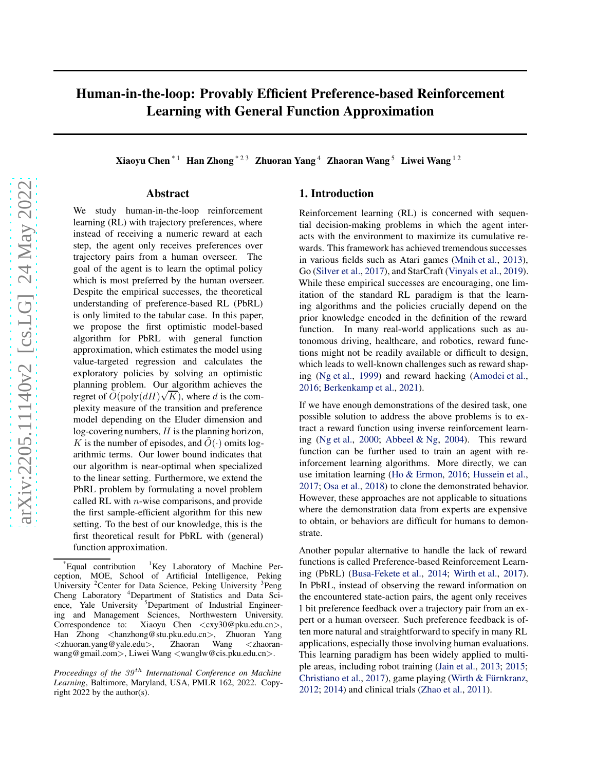# Human-in-the-loop: Provably Efficient Preference-based Reinforcement Learning with General Function Approximation

Xiaoyu Chen<sup>\*1</sup> Han Zhong<sup>\*23</sup> Zhuoran Yang<sup>4</sup> Zhaoran Wang<sup>5</sup> Liwei Wang<sup>12</sup>

### Abstract

We study human-in-the-loop reinforcement learning (RL) with trajectory preferences, where instead of receiving a numeric reward at each step, the agent only receives preferences over trajectory pairs from a human overseer. The goal of the agent is to learn the optimal policy which is most preferred by the human overseer. Despite the empirical successes, the theoretical understanding of preference-based RL (PbRL) is only limited to the tabular case. In this paper, we propose the first optimistic model-based algorithm for PbRL with general function approximation, which estimates the model using value-targeted regression and calculates the exploratory policies by solving an optimistic planning problem. Our algorithm achieves the regret of  $\tilde{O}(\text{poly}(dH)\sqrt{K})$ , where d is the complexity measure of the transition and preference model depending on the Eluder dimension and log-covering numbers,  $H$  is the planning horizon, K is the number of episodes, and  $O(·)$  omits logarithmic terms. Our lower bound indicates that our algorithm is near-optimal when specialized to the linear setting. Furthermore, we extend the PbRL problem by formulating a novel problem called RL with  $n$ -wise comparisons, and provide the first sample-efficient algorithm for this new setting. To the best of our knowledge, this is the first theoretical result for PbRL with (general) function approximation.

# 1. Introduction

Reinforcement learning (RL) is concerned with sequential decision-making problems in which the agent interacts with the environment to maximize its cumulative rewards. This framework has achieved tremendous successes in various fields such as Atari games [\(Mnih et al.,](#page-9-0) [2013\)](#page-9-0), Go [\(Silver et al.](#page-9-1), [2017\)](#page-9-1), and StarCraft [\(Vinyals et al.](#page-9-2), [2019\)](#page-9-2). While these empirical successes are encouraging, one limitation of the standard RL paradigm is that the learning algorithms and the policies crucially depend on the prior knowledge encoded in the definition of the reward function. In many real-world applications such as autonomous driving, healthcare, and robotics, reward functions might not be readily available or difficult to design, which leads to well-known challenges such as reward shaping [\(Ng et al.,](#page-9-3) [1999\)](#page-9-3) and reward hacking [\(Amodei et al.](#page-8-0), [2016;](#page-8-0) [Berkenkamp et al.](#page-8-1), [2021](#page-8-1)).

If we have enough demonstrations of the desired task, one possible solution to address the above problems is to extract a reward function using inverse reinforcement learning [\(Ng et al.](#page-9-4), [2000](#page-9-4); [Abbeel & Ng](#page-8-2), [2004\)](#page-8-2). This reward function can be further used to train an agent with reinforcement learning algorithms. More directly, we can use imitation learning [\(Ho & Ermon,](#page-8-3) [2016](#page-8-3); [Hussein et al.](#page-8-4), [2017;](#page-8-4) [Osa et al.](#page-9-5), [2018](#page-9-5)) to clone the demonstrated behavior. However, these approaches are not applicable to situations where the demonstration data from experts are expensive to obtain, or behaviors are difficult for humans to demonstrate.

Another popular alternative to handle the lack of reward functions is called Preference-based Reinforcement Learning (PbRL) [\(Busa-Fekete et al.,](#page-8-5) [2014;](#page-8-5) [Wirth et al.,](#page-9-6) [2017\)](#page-9-6). In PbRL, instead of observing the reward information on the encountered state-action pairs, the agent only receives 1 bit preference feedback over a trajectory pair from an expert or a human overseer. Such preference feedback is often more natural and straightforward to specify in many RL applications, especially those involving human evaluations. This learning paradigm has been widely applied to multiple areas, including robot training [\(Jain et al.,](#page-9-7) [2013;](#page-9-7) [2015;](#page-9-8) [Christiano et al.,](#page-8-6) [2017\)](#page-8-6), game playing (Wirth & Fürnkranz, [2012;](#page-9-9) [2014\)](#page-9-10) and clinical trials [\(Zhao et al.](#page-10-0), [2011](#page-10-0)).

 $E$ qual contribution  $1$ Key Laboratory of Machine Perception, MOE, School of Artificial Intelligence, Peking University <sup>2</sup> Center for Data Science, Peking University <sup>3</sup> Peng Cheng Laboratory <sup>4</sup>Department of Statistics and Data Science, Yale University <sup>5</sup>Department of Industrial Engineering and Management Sciences, Northwestern University.<br>Correspondence to: Xiaoyu Chen <cxy30@pku.edu.cn>. Xiaoyu Chen  $\langle cxy30@pku.edu.cn\rangle$ , Han Zhong <hanzhong@stu.pku.edu.cn>, Zhuoran Yang <zhuoran.yang@yale.edu>, Zhaoran Wang <zhaoranwang@gmail.com>, Liwei Wang <wanglw@cis.pku.edu.cn>.

*Proceedings of the 39<sup>th</sup> International Conference on Machine Learning*, Baltimore, Maryland, USA, PMLR 162, 2022. Copyright 2022 by the author(s).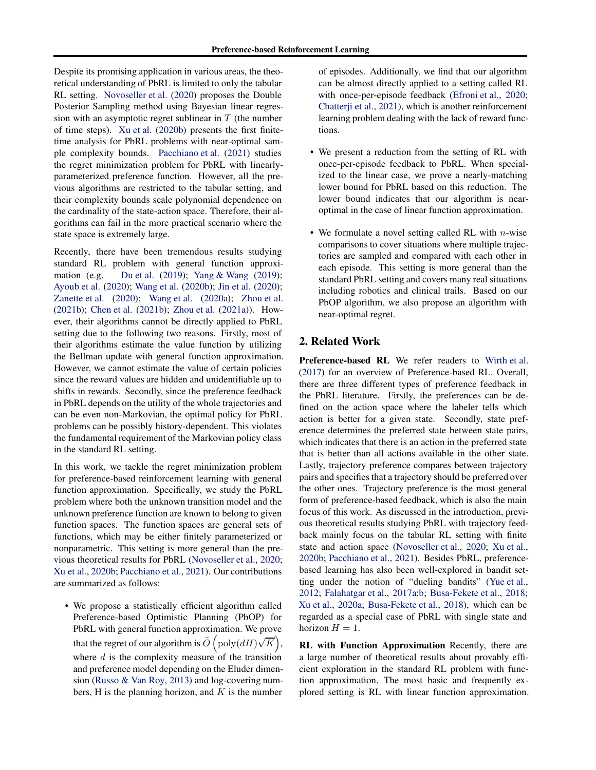Despite its promising application in various areas, the theoretical understanding of PbRL is limited to only the tabular RL setting. [Novoseller et al.](#page-9-11) [\(2020\)](#page-9-11) proposes the Double Posterior Sampling method using Bayesian linear regression with an asymptotic regret sublinear in  $T$  (the number of time steps). [Xu et al.](#page-9-12) [\(2020b\)](#page-9-12) presents the first finitetime analysis for PbRL problems with near-optimal sample complexity bounds. [Pacchiano et al.](#page-9-13) [\(2021\)](#page-9-13) studies the regret minimization problem for PbRL with linearlyparameterized preference function. However, all the previous algorithms are restricted to the tabular setting, and their complexity bounds scale polynomial dependence on the cardinality of the state-action space. Therefore, their algorithms can fail in the more practical scenario where the state space is extremely large.

Recently, there have been tremendous results studying standard RL problem with general function approximation (e.g. [Du et al.](#page-8-7) [\(2019\)](#page-8-7); [Yang & Wang](#page-9-14) [\(2019](#page-9-14)); [Ayoub et al.](#page-8-8) [\(2020\)](#page-8-8); [Wang et al.](#page-9-15) [\(2020b](#page-9-15)); [Jin et al.](#page-9-16) [\(2020](#page-9-16)); [Zanette et al.](#page-10-1) [\(2020\)](#page-10-1); [Wang et al.](#page-9-17) [\(2020a\)](#page-9-17); [Zhou et al.](#page-10-2) [\(2021b\)](#page-10-2); [Chen et al.](#page-8-9) [\(2021b](#page-8-9)); [Zhou et al.](#page-10-3) [\(2021a\)](#page-10-3)). However, their algorithms cannot be directly applied to PbRL setting due to the following two reasons. Firstly, most of their algorithms estimate the value function by utilizing the Bellman update with general function approximation. However, we cannot estimate the value of certain policies since the reward values are hidden and unidentifiable up to shifts in rewards. Secondly, since the preference feedback in PbRL depends on the utility of the whole trajectories and can be even non-Markovian, the optimal policy for PbRL problems can be possibly history-dependent. This violates the fundamental requirement of the Markovian policy class in the standard RL setting.

In this work, we tackle the regret minimization problem for preference-based reinforcement learning with general function approximation. Specifically, we study the PbRL problem where both the unknown transition model and the unknown preference function are known to belong to given function spaces. The function spaces are general sets of functions, which may be either finitely parameterized or nonparametric. This setting is more general than the previous theoretical results for PbRL [\(Novoseller et al.](#page-9-11), [2020;](#page-9-11) [Xu et al.](#page-9-12), [2020b;](#page-9-12) [Pacchiano et al.](#page-9-13), [2021\)](#page-9-13). Our contributions are summarized as follows:

• We propose a statistically efficient algorithm called Preference-based Optimistic Planning (PbOP) for PbRL with general function approximation. We prove that the regret of our algorithm is  $\tilde{O}(\text{poly}(dH)\sqrt{K}),$ where  $d$  is the complexity measure of the transition and preference model depending on the Eluder dimension [\(Russo & Van Roy](#page-9-18), [2013\)](#page-9-18) and log-covering numbers, H is the planning horizon, and  $K$  is the number of episodes. Additionally, we find that our algorithm can be almost directly applied to a setting called RL with once-per-episode feedback [\(Efroni et al.,](#page-8-10) [2020;](#page-8-10) [Chatterji et al.](#page-8-11), [2021\)](#page-8-11), which is another reinforcement learning problem dealing with the lack of reward functions.

- We present a reduction from the setting of RL with once-per-episode feedback to PbRL. When specialized to the linear case, we prove a nearly-matching lower bound for PbRL based on this reduction. The lower bound indicates that our algorithm is nearoptimal in the case of linear function approximation.
- We formulate a novel setting called RL with  $n$ -wise comparisons to cover situations where multiple trajectories are sampled and compared with each other in each episode. This setting is more general than the standard PbRL setting and covers many real situations including robotics and clinical trails. Based on our PbOP algorithm, we also propose an algorithm with near-optimal regret.

# 2. Related Work

Preference-based RL We refer readers to [Wirth et al.](#page-9-6) [\(2017\)](#page-9-6) for an overview of Preference-based RL. Overall, there are three different types of preference feedback in the PbRL literature. Firstly, the preferences can be defined on the action space where the labeler tells which action is better for a given state. Secondly, state preference determines the preferred state between state pairs, which indicates that there is an action in the preferred state that is better than all actions available in the other state. Lastly, trajectory preference compares between trajectory pairs and specifies that a trajectory should be preferred over the other ones. Trajectory preference is the most general form of preference-based feedback, which is also the main focus of this work. As discussed in the introduction, previous theoretical results studying PbRL with trajectory feedback mainly focus on the tabular RL setting with finite state and action space [\(Novoseller et al.](#page-9-11), [2020](#page-9-11); [Xu et al.](#page-9-12), [2020b;](#page-9-12) [Pacchiano et al.,](#page-9-13) [2021\)](#page-9-13). Besides PbRL, preferencebased learning has also been well-explored in bandit setting under the notion of "dueling bandits" [\(Yue et al.](#page-10-4), [2012;](#page-10-4) [Falahatgar et al.](#page-8-12), [2017a](#page-8-12)[;b;](#page-8-13) [Busa-Fekete et al.](#page-8-14), [2018;](#page-8-14) [Xu et al.](#page-9-19), [2020a;](#page-9-19) [Busa-Fekete et al.](#page-8-14), [2018](#page-8-14)), which can be regarded as a special case of PbRL with single state and horizon  $H = 1$ .

RL with Function Approximation Recently, there are a large number of theoretical results about provably efficient exploration in the standard RL problem with function approximation, The most basic and frequently explored setting is RL with linear function approximation.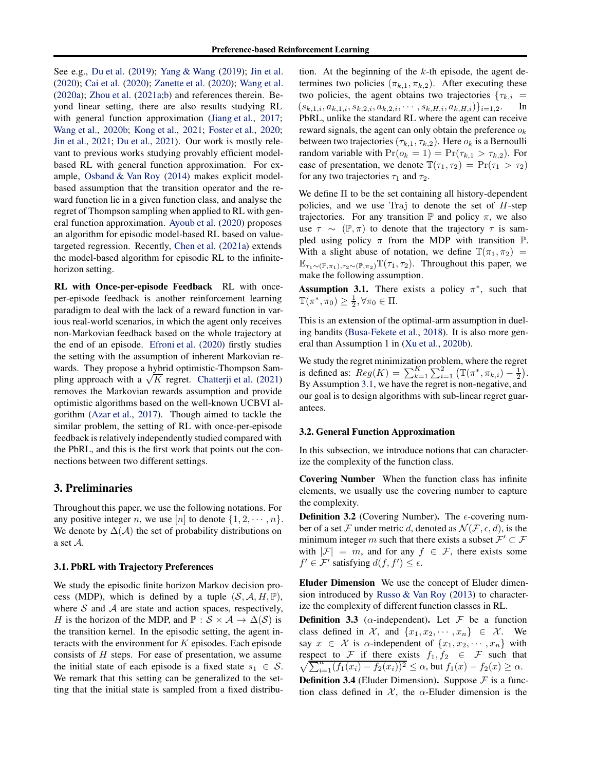See e.g., [Du et al.](#page-8-7) [\(2019](#page-8-7)); [Yang & Wang](#page-9-14) [\(2019](#page-9-14)); [Jin et al.](#page-9-16) [\(2020\)](#page-9-16); [Cai et al.](#page-8-15) [\(2020\)](#page-8-15); [Zanette et al.](#page-10-1) [\(2020](#page-10-1)); [Wang et al.](#page-9-17) [\(2020a\)](#page-9-17); [Zhou et al.](#page-10-3) [\(2021a](#page-10-3)[;b\)](#page-10-2) and references therein. Beyond linear setting, there are also results studying RL with general function approximation [\(Jiang et al.](#page-9-20), [2017;](#page-9-20) [Wang et al.,](#page-9-15) [2020b](#page-9-15); [Kong et al.,](#page-9-21) [2021;](#page-9-21) [Foster et al.](#page-8-16), [2020;](#page-8-16) [Jin et al.,](#page-9-22) [2021](#page-9-22); [Du et al.](#page-8-17), [2021\)](#page-8-17). Our work is mostly relevant to previous works studying provably efficient modelbased RL with general function approximation. For example, [Osband & Van Roy](#page-9-23) [\(2014](#page-9-23)) makes explicit modelbased assumption that the transition operator and the reward function lie in a given function class, and analyse the regret of Thompson sampling when applied to RL with general function approximation. [Ayoub et al.](#page-8-8) [\(2020\)](#page-8-8) proposes an algorithm for episodic model-based RL based on valuetargeted regression. Recently, [Chen et al.](#page-8-18) [\(2021a\)](#page-8-18) extends the model-based algorithm for episodic RL to the infinitehorizon setting.

RL with Once-per-episode Feedback RL with onceper-episode feedback is another reinforcement learning paradigm to deal with the lack of a reward function in various real-world scenarios, in which the agent only receives non-Markovian feedback based on the whole trajectory at the end of an episode. [Efroni et al.](#page-8-10) [\(2020\)](#page-8-10) firstly studies the setting with the assumption of inherent Markovian rewards. They propose a hybrid optimistic-Thompson Sammatas. They propose a *hybric* equilibrium includes a highling approach with a  $\sqrt{K}$  regret. [Chatterji et al.](#page-8-11) [\(2021\)](#page-8-11) removes the Markovian rewards assumption and provide optimistic algorithms based on the well-known UCBVI algorithm [\(Azar et al.](#page-8-19), [2017\)](#page-8-19). Though aimed to tackle the similar problem, the setting of RL with once-per-episode feedback is relatively independently studied compared with the PbRL, and this is the first work that points out the connections between two different settings.

## 3. Preliminaries

Throughout this paper, we use the following notations. For any positive integer n, we use [n] to denote  $\{1, 2, \dots, n\}$ . We denote by  $\Delta(A)$  the set of probability distributions on a set A.

#### 3.1. PbRL with Trajectory Preferences

We study the episodic finite horizon Markov decision process (MDP), which is defined by a tuple  $(S, \mathcal{A}, H, \mathbb{P})$ , where  $S$  and  $A$  are state and action spaces, respectively, H is the horizon of the MDP, and  $\mathbb{P}: \mathcal{S} \times \mathcal{A} \to \Delta(\mathcal{S})$  is the transition kernel. In the episodic setting, the agent interacts with the environment for  $K$  episodes. Each episode consists of  $H$  steps. For ease of presentation, we assume the initial state of each episode is a fixed state  $s_1 \in S$ . We remark that this setting can be generalized to the setting that the initial state is sampled from a fixed distribution. At the beginning of the  $k$ -th episode, the agent determines two policies  $(\pi_{k,1}, \pi_{k,2})$ . After executing these two policies, the agent obtains two trajectories  $\{\tau_{k,i} = (s_{k,1,i}, a_{k,1,i}, s_{k,2,i}, a_{k,2,i}, \dots, s_{k,H,i}, a_{k,H,i})\}_{i=1,2}$ . In  $(s_{k,1,i}, a_{k,1,i}, s_{k,2,i}, a_{k,2,i}, \cdots, s_{k,H,i}, a_{k,H,i})\}_{i=1,2}.$ PbRL, unlike the standard RL where the agent can receive reward signals, the agent can only obtain the preference  $o_k$ between two trajectories ( $\tau_{k,1}, \tau_{k,2}$ ). Here  $o_k$  is a Bernoulli random variable with  $Pr(o_k = 1) = Pr(\tau_{k,1} > \tau_{k,2})$ . For ease of presentation, we denote  $\mathbb{T}(\tau_1, \tau_2) = \Pr(\tau_1 > \tau_2)$ for any two trajectories  $\tau_1$  and  $\tau_2$ .

We define  $\Pi$  to be the set containing all history-dependent policies, and we use Traj to denote the set of  $H$ -step trajectories. For any transition  $\mathbb P$  and policy  $\pi$ , we also use  $\tau \sim (\mathbb{P}, \pi)$  to denote that the trajectory  $\tau$  is sampled using policy  $\pi$  from the MDP with transition  $\mathbb{P}$ . With a slight abuse of notation, we define  $\mathbb{T}(\pi_1, \pi_2)$  =  $\mathbb{E}_{\tau_1 \sim (\mathbb{P}, \pi_1), \tau_2 \sim (\mathbb{P}, \pi_2)} \mathbb{T}(\tau_1, \tau_2)$ . Throughout this paper, we make the following assumption.

<span id="page-2-0"></span>**Assumption 3.1.** There exists a policy  $\pi^*$ , such that  $\mathbb{T}(\pi^*, \pi_0) \geq \frac{1}{2}, \forall \pi_0 \in \Pi.$ 

This is an extension of the optimal-arm assumption in dueling bandits [\(Busa-Fekete et al.,](#page-8-14) [2018\)](#page-8-14). It is also more general than Assumption 1 in [\(Xu et al.](#page-9-12), [2020b](#page-9-12)).

We study the regret minimization problem, where the regret is defined as:  $Reg(K) = \sum_{k=1}^{K} \sum_{i=1}^{2} (\mathbb{T}(\pi^*, \pi_{k,i}) - \frac{1}{2}).$ By Assumption [3.1,](#page-2-0) we have the regret is non-negative, and our goal is to design algorithms with sub-linear regret guarantees.

#### 3.2. General Function Approximation

In this subsection, we introduce notions that can characterize the complexity of the function class.

Covering Number When the function class has infinite elements, we usually use the covering number to capture the complexity.

**Definition 3.2** (Covering Number). The  $\epsilon$ -covering number of a set F under metric d, denoted as  $\mathcal{N}(\mathcal{F}, \epsilon, d)$ , is the minimum integer m such that there exists a subset  $\mathcal{F}' \subset \mathcal{F}$ with  $|\mathcal{F}| = m$ , and for any  $f \in \mathcal{F}$ , there exists some  $f' \in \mathcal{F}'$  satisfying  $d(f, f') \leq \epsilon$ .

Eluder Dimension We use the concept of Eluder dimension introduced by [Russo & Van Roy](#page-9-18) [\(2013\)](#page-9-18) to characterize the complexity of different function classes in RL.

**Definition 3.3** ( $\alpha$ -independent). Let F be a function class defined in X, and  $\{x_1, x_2, \dots, x_n\} \in \mathcal{X}$ . We say  $x \in \mathcal{X}$  is  $\alpha$ -independent of  $\{x_1, x_2, \dots, x_n\}$  with  $\sqrt{\sum_{i=1}^{n} (f_1(x_i) - f_2(x_i))^2} \le \alpha$ , but  $f_1(x) - f_2(x) \ge \alpha$ . respect to F if there exists  $f_1, f_2 \in \mathcal{F}$  such that

**Definition 3.4** (Eluder Dimension). Suppose  $\mathcal F$  is a function class defined in  $X$ , the  $\alpha$ -Eluder dimension is the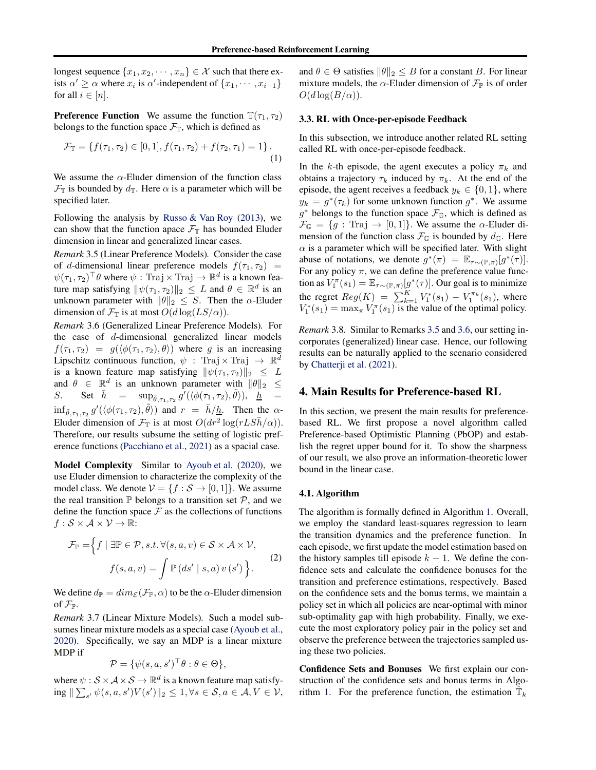longest sequence  $\{x_1, x_2, \dots, x_n\} \in \mathcal{X}$  such that there exists  $\alpha' \geq \alpha$  where  $x_i$  is  $\alpha'$ -independent of  $\{x_1, \dots, x_{i-1}\}$ for all  $i \in [n]$ .

**Preference Function** We assume the function  $\mathbb{T}(\tau_1, \tau_2)$ belongs to the function space  $\mathcal{F}_{\mathbb{T}}$ , which is defined as

$$
\mathcal{F}_{\mathbb{T}} = \{ f(\tau_1, \tau_2) \in [0, 1], f(\tau_1, \tau_2) + f(\tau_2, \tau_1) = 1 \}.
$$
\n(1)

We assume the  $\alpha$ -Eluder dimension of the function class  $\mathcal{F}_{\mathbb{T}}$  is bounded by  $d_{\mathbb{T}}$ . Here  $\alpha$  is a parameter which will be specified later.

Following the analysis by [Russo & Van Roy](#page-9-18) [\(2013](#page-9-18)), we can show that the function apace  $\mathcal{F}_{\mathbb{T}}$  has bounded Eluder dimension in linear and generalized linear cases.

<span id="page-3-0"></span>*Remark* 3.5 (Linear Preference Models)*.* Consider the case of d-dimensional linear preference models  $f(\tau_1, \tau_2)$  =  $\psi(\tau_1, \tau_2)^\top \theta$  where  $\psi$ : Traj  $\times$  Traj  $\to \mathbb{R}^d$  is a known feature map satisfying  $\|\psi(\tau_1, \tau_2)\|_2 \leq L$  and  $\theta \in \mathbb{R}^d$  is an unknown parameter with  $\|\theta\|_2 \leq S$ . Then the  $\alpha$ -Eluder dimension of  $\mathcal{F}_{\mathbb{T}}$  is at most  $O(d \log(LS/\alpha))$ .

<span id="page-3-1"></span>*Remark* 3.6 (Generalized Linear Preference Models)*.* For the case of  $d$ -dimensional generalized linear models  $f(\tau_1, \tau_2) = g(\langle \phi(\tau_1, \tau_2), \theta \rangle)$  where g is an increasing Lipschitz continuous function,  $\psi$  : Traj  $\times$  Traj  $\rightarrow \mathbb{R}^d$ is a known feature map satisfying  $\|\psi(\tau_1, \tau_2)\|_2 \leq L$ and  $\theta \in \mathbb{R}^d$  is an unknown parameter with  $\|\theta\|_2 \leq$ S. Set  $\bar{h} = \sup_{\tilde{\theta}, \tau_1, \tau_2} g'(\langle \phi(\tau_1, \tau_2), \tilde{\theta} \rangle), \quad \underline{h} =$  $\inf_{\tilde{\theta}, \tau_1, \tau_2} g'(\langle \phi(\tau_1, \tau_2), \tilde{\theta} \rangle)$  and  $r = \bar{h}/\underline{h}$ . Then the  $\alpha$ -Eluder dimension of  $\mathcal{F}_{\mathbb{T}}$  is at most  $O(dr^2 \log(rLS\bar{h}/\alpha))$ . Therefore, our results subsume the setting of logistic preference functions [\(Pacchiano et al.](#page-9-13), [2021\)](#page-9-13) as a spacial case.

Model Complexity Similar to [Ayoub et al.](#page-8-8) [\(2020](#page-8-8)), we use Eluder dimension to characterize the complexity of the model class. We denote  $V = \{f : \mathcal{S} \to [0,1]\}$ . We assume the real transition  $\mathbb P$  belongs to a transition set  $\mathcal P$ , and we define the function space  $\mathcal F$  as the collections of functions  $f : \mathcal{S} \times \mathcal{A} \times \mathcal{V} \rightarrow \mathbb{R}$ :

$$
\mathcal{F}_{\mathbb{P}} = \Big\{ f \mid \exists \mathbb{P} \in \mathcal{P}, s.t. \forall (s, a, v) \in \mathcal{S} \times \mathcal{A} \times \mathcal{V}, \nf(s, a, v) = \int \mathbb{P} (ds' \mid s, a) v(s') \Big\}.
$$
\n(2)

<span id="page-3-2"></span>We define  $d_{\mathbb{P}} = dim_{\mathcal{E}}(\mathcal{F}_{\mathbb{P}}, \alpha)$  to be the  $\alpha$ -Eluder dimension of  $\mathcal{F}_{\mathbb{P}}$ .

*Remark* 3.7 (Linear Mixture Models)*.* Such a model subsumes linear mixture models as a special case [\(Ayoub et al.](#page-8-8), [2020\)](#page-8-8). Specifically, we say an MDP is a linear mixture MDP if

$$
\mathcal{P} = \{ \psi(s, a, s')^{\top} \theta : \theta \in \Theta \},\
$$

where  $\psi : \mathcal{S} \times \mathcal{A} \times \mathcal{S} \to \mathbb{R}^d$  is a known feature map satisfying  $\|\sum_{s'} \psi(s, a, s')V(s')\|_2 \leq 1, \forall s \in \mathcal{S}, a \in \mathcal{A}, V \in \mathcal{V}$ ,

and  $\theta \in \Theta$  satisfies  $\|\theta\|_2 \leq B$  for a constant B. For linear mixture models, the  $\alpha$ -Eluder dimension of  $\mathcal{F}_{\mathbb{P}}$  is of order  $O(d \log(B/\alpha)).$ 

#### <span id="page-3-3"></span>3.3. RL with Once-per-episode Feedback

In this subsection, we introduce another related RL setting called RL with once-per-episode feedback.

In the k-th episode, the agent executes a policy  $\pi_k$  and obtains a trajectory  $\tau_k$  induced by  $\pi_k$ . At the end of the episode, the agent receives a feedback  $y_k \in \{0, 1\}$ , where  $y_k = g^*(\tau_k)$  for some unknown function  $g^*$ . We assume  $g^*$  belongs to the function space  $\mathcal{F}_{\mathbb{G}}$ , which is defined as  $\mathcal{F}_{\mathbb{G}} = \{g : \text{Traj } \rightarrow [0,1]\}.$  We assume the  $\alpha$ -Eluder dimension of the function class  $\mathcal{F}_{\mathbb{G}}$  is bounded by  $d_{\mathbb{G}}$ . Here  $\alpha$  is a parameter which will be specified later. With slight abuse of notations, we denote  $g^*(\pi) = \mathbb{E}_{\tau \sim (\mathbb{P}, \pi)}[g^*(\tau)].$ For any policy  $\pi$ , we can define the preference value function as  $V_1^{\pi}(s_1) = \mathbb{E}_{\tau \sim (\mathbb{P}, \pi)}[g^*(\tau)].$  Our goal is to minimize the regret  $Reg(K) = \sum_{k=1}^{K} V_1^*(s_1) - V_1^{\pi_k}(s_1)$ , where  $V_1^*(s_1) = \max_{\pi} V_1^{\pi}(s_1)$  is the value of the optimal policy.

*Remark* 3.8*.* Similar to Remarks [3.5](#page-3-0) and [3.6,](#page-3-1) our setting incorporates (generalized) linear case. Hence, our following results can be naturally applied to the scenario considered by [Chatterji et al.](#page-8-11) [\(2021\)](#page-8-11).

### 4. Main Results for Preference-based RL

In this section, we present the main results for preferencebased RL. We first propose a novel algorithm called Preference-based Optimistic Planning (PbOP) and establish the regret upper bound for it. To show the sharpness of our result, we also prove an information-theoretic lower bound in the linear case.

#### 4.1. Algorithm

The algorithm is formally defined in Algorithm [1.](#page-4-0) Overall, we employ the standard least-squares regression to learn the transition dynamics and the preference function. In each episode, we first update the model estimation based on the history samples till episode  $k - 1$ . We define the confidence sets and calculate the confidence bonuses for the transition and preference estimations, respectively. Based on the confidence sets and the bonus terms, we maintain a policy set in which all policies are near-optimal with minor sub-optimality gap with high probability. Finally, we execute the most exploratory policy pair in the policy set and observe the preference between the trajectories sampled using these two policies.

Confidence Sets and Bonuses We first explain our construction of the confidence sets and bonus terms in Algo-rithm [1.](#page-4-0) For the preference function, the estimation  $\hat{\mathbb{T}}_k$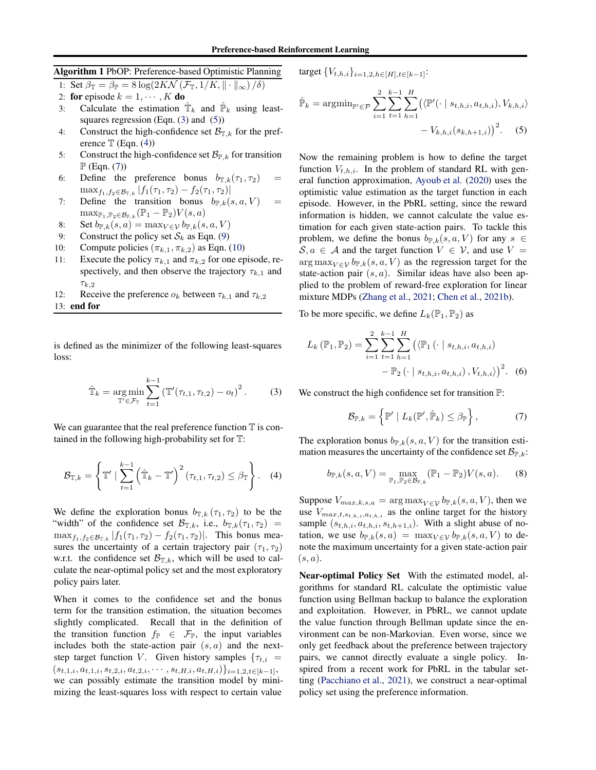# <span id="page-4-0"></span>Algorithm 1 PbOP: Preference-based Optimistic Planning

1: Set  $\beta_{\mathbb{T}} = \beta_{\mathbb{P}} = 8 \log(2K\mathcal{N}(\mathcal{F}_{\mathbb{T}}, 1/K, \|\cdot\|_{\infty})/\delta)$ 

2: **for** episode  $k = 1, \dots, K$  **do**<br>3: Calculate the estimation

- 3: Calculate the estimation  $\hat{T}_k$  and  $\hat{P}_k$  using leastsquares regression (Eqn.  $(3)$  and  $(5)$ )
- 4: Construct the high-confidence set  $\mathcal{B}_{\mathbb{T},k}$  for the preference  $\mathbb T$  (Eqn. [\(4\)](#page-4-3))
- 5: Construct the high-confidence set  $\mathcal{B}_{\mathbb{P},k}$  for transition  $\mathbb{P}$  (Eqn. [\(7\)](#page-4-4))
- 6: Define the preference bonus  $b_{\mathbb{T},k}(\tau_1, \tau_2)$  $\max_{f_1,f_2\in\mathcal{B}_{\mathbb{T},k}}|f_1(\tau_1,\tau_2)-f_2(\tau_1,\tau_2)|$
- 7: Define the transition bonus  $b_{\mathbb{P},k}(s, a, V)$  $\max_{\mathbb{P}_1,\mathbb{P}_2\in\mathcal{B}_{\mathbb{P},k}}(\mathbb{P}_1-\mathbb{P}_2)V(s,a)$
- 8: Set  $b_{\mathbb{P},k}(s, a) = \max_{V \in \mathcal{V}} b_{\mathbb{P},k}(s, a, V)$
- 9: Construct the policy set  $S_k$  as Eqn. [\(9\)](#page-5-0)<br>10: Compute policies  $(\pi_{k,1}, \pi_{k,2})$  as Eqn.
- Compute policies  $(\pi_{k,1}, \pi_{k,2})$  as Eqn. [\(10\)](#page-5-1)
- 11: Execute the policy  $\pi_{k,1}$  and  $\pi_{k,2}$  for one episode, respectively, and then observe the trajectory  $\tau_{k,1}$  and  $\tau_{k,2}$
- 12: Receive the preference  $o_k$  between  $\tau_{k,1}$  and  $\tau_{k,2}$
- 13: end for

is defined as the minimizer of the following least-squares loss:

$$
\hat{\mathbb{T}}_k = \underset{\mathbb{T}' \in \mathcal{F}_{\mathbb{T}}}{\arg \min} \sum_{t=1}^{k-1} \left( \mathbb{T}'(\tau_{t,1}, \tau_{t,2}) - o_t \right)^2.
$$
 (3)

We can guarantee that the real preference function  $\mathbb T$  is contained in the following high-probability set for T:

$$
\mathcal{B}_{\mathbb{T},k} = \left\{ \mathbb{T}' \mid \sum_{t=1}^{k-1} \left( \hat{\mathbb{T}}_k - \mathbb{T}' \right)^2 (\tau_{t,1}, \tau_{t,2}) \leq \beta_{\mathbb{T}} \right\}. \quad (4)
$$

We define the exploration bonus  $b_{\mathbb{T},k}(\tau_1, \tau_2)$  to be the "width" of the confidence set  $\mathcal{B}_{\mathbb{T},k}$ , i.e.,  $b_{\mathbb{T},k}(\tau_1, \tau_2)$  $\max_{f_1,f_2 \in \mathcal{B}_{T,k}} |f_1(\tau_1,\tau_2) - f_2(\tau_1,\tau_2)|$ . This bonus measures the uncertainty of a certain trajectory pair  $(\tau_1, \tau_2)$ w.r.t. the confidence set  $\mathcal{B}_{T,k}$ , which will be used to calculate the near-optimal policy set and the most exploratory policy pairs later.

When it comes to the confidence set and the bonus term for the transition estimation, the situation becomes slightly complicated. Recall that in the definition of the transition function  $f_{\mathbb{P}} \in \mathcal{F}_{\mathbb{P}}$ , the input variables includes both the state-action pair  $(s, a)$  and the nextstep target function V. Given history samples  $\{\tau_{t,i} =$  $(s_{t,1,i}, a_{t,1,i}, s_{t,2,i}, a_{t,2,i}, \cdots, s_{t,H,i}, a_{t,H,i})\}_{i=1,2, t\in[k-1]},$ we can possibly estimate the transition model by minimizing the least-squares loss with respect to certain value

target  $\{V_{t,h,i}\}_{i=1,2,h\in[H],t\in[k-1]}\$ :

<span id="page-4-2"></span>
$$
\hat{\mathbb{P}}_k = \operatorname{argmin}_{\mathbb{P}' \in \mathcal{P}} \sum_{i=1}^2 \sum_{t=1}^{k-1} \sum_{h=1}^H \left( \langle \mathbb{P}'(\cdot \mid s_{t,h,i}, a_{t,h,i}), V_{k,h,i} \rangle \right. \\ \left. - V_{k,h,i}(s_{k,h+1,i}) \right)^2. \tag{5}
$$

Now the remaining problem is how to define the target function  $V_{t,h,i}$ . In the problem of standard RL with general function approximation, [Ayoub et al.](#page-8-8) [\(2020\)](#page-8-8) uses the optimistic value estimation as the target function in each episode. However, in the PbRL setting, since the reward information is hidden, we cannot calculate the value estimation for each given state-action pairs. To tackle this problem, we define the bonus  $b_{P,k}(s, a, V)$  for any  $s \in$  $S, a \in A$  and the target function  $V \in V$ , and use  $V =$  $\arg \max_{V \in \mathcal{V}} b_{\mathbb{P},k}(s, a, V)$  as the regression target for the state-action pair  $(s, a)$ . Similar ideas have also been applied to the problem of reward-free exploration for linear mixture MDPs [\(Zhang et al.,](#page-10-5) [2021;](#page-10-5) [Chen et al.,](#page-8-9) [2021b\)](#page-8-9).

To be more specific, we define  $L_k(\mathbb{P}_1, \mathbb{P}_2)$  as

$$
L_k(\mathbb{P}_1, \mathbb{P}_2) = \sum_{i=1}^2 \sum_{t=1}^{k-1} \sum_{h=1}^H \left( \langle \mathbb{P}_1(\cdot | s_{t,h,i}, a_{t,h,i}) - \mathbb{P}_2(\cdot | s_{t,h,i}, a_{t,h,i}), V_{t,h,i} \rangle \right)^2.
$$
 (6)

<span id="page-4-1"></span>We construct the high confidence set for transition  $\mathbb{P}$ :

<span id="page-4-4"></span>
$$
\mathcal{B}_{\mathbb{P},k} = \left\{ \mathbb{P}' \mid L_k(\mathbb{P}', \hat{\mathbb{P}}_k) \leq \beta_{\mathbb{P}} \right\},\tag{7}
$$

The exploration bonus  $b_{P,k}(s, a, V)$  for the transition estimation measures the uncertainty of the confidence set  $\mathcal{B}_{\mathbb{P},k}$ :

$$
b_{\mathbb{P},k}(s,a,V) = \max_{\mathbb{P}_1, \mathbb{P}_2 \in \mathcal{B}_{\mathbb{P},k}} (\mathbb{P}_1 - \mathbb{P}_2) V(s,a). \tag{8}
$$

<span id="page-4-3"></span>Suppose  $V_{max,k,s,a} = \arg \max_{V \in \mathcal{V}} b_{\mathbb{P},k}(s, a, V)$ , then we use  $V_{max,t,s_{t,h,i},a_{t,h,i}}$  as the online target for the history sample  $(s_{t,h,i}, a_{t,h,i}, s_{t,h+1,i})$ . With a slight abuse of notation, we use  $b_{\mathbb{P},k}(s, a) = \max_{V \in \mathcal{V}} b_{\mathbb{P},k}(s, a, V)$  to denote the maximum uncertainty for a given state-action pair  $(s, a)$ .

Near-optimal Policy Set With the estimated model, algorithms for standard RL calculate the optimistic value function using Bellman backup to balance the exploration and exploitation. However, in PbRL, we cannot update the value function through Bellman update since the environment can be non-Markovian. Even worse, since we only get feedback about the preference between trajectory pairs, we cannot directly evaluate a single policy. Inspired from a recent work for PbRL in the tabular setting [\(Pacchiano et al.](#page-9-13), [2021](#page-9-13)), we construct a near-optimal policy set using the preference information.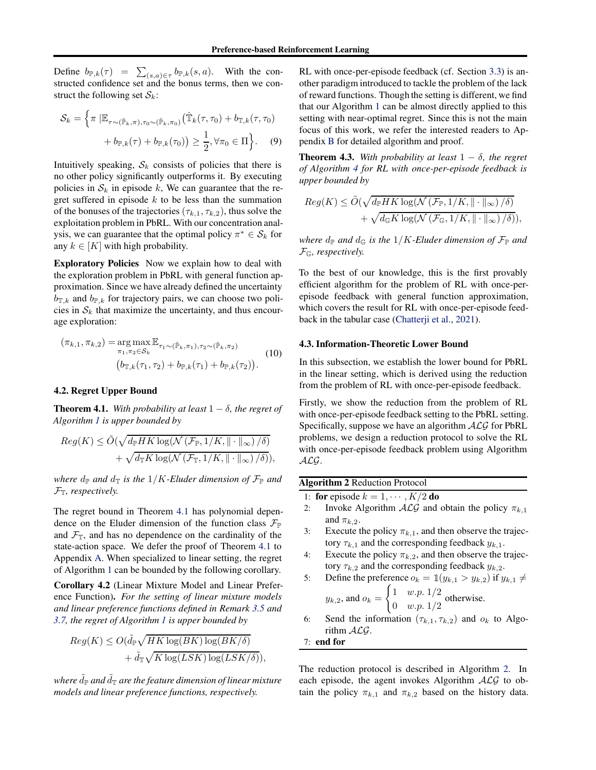Define  $b_{\mathbb{P},k}(\tau) = \sum_{(s,a)\in\tau} b_{\mathbb{P},k}(s,a)$ . With the constructed confidence set and the bonus terms, then we construct the following set  $S_k$ :

$$
\mathcal{S}_k = \left\{ \pi \, \left| \mathbb{E}_{\tau \sim (\hat{\mathbb{P}}_k, \pi), \tau_0 \sim (\hat{\mathbb{P}}_k, \pi_0)} \right( \hat{\mathbb{T}}_k(\tau, \tau_0) + b_{\mathbb{T}, k}(\tau, \tau_0) \right. \\ \left. + b_{\mathbb{P}, k}(\tau) + b_{\mathbb{P}, k}(\tau_0) \right) \ge \frac{1}{2}, \forall \pi_0 \in \Pi \right\} . \tag{9}
$$

Intuitively speaking,  $S_k$  consists of policies that there is no other policy significantly outperforms it. By executing policies in  $S_k$  in episode k, We can guarantee that the regret suffered in episode  $k$  to be less than the summation of the bonuses of the trajectories  $(\tau_{k,1}, \tau_{k,2})$ , thus solve the exploitation problem in PbRL. With our concentration analysis, we can guarantee that the optimal policy  $\pi^* \in S_k$  for any  $k \in [K]$  with high probability.

Exploratory Policies Now we explain how to deal with the exploration problem in PbRL with general function approximation. Since we have already defined the uncertainty  $b_{\mathbb{T},k}$  and  $b_{\mathbb{P},k}$  for trajectory pairs, we can choose two policies in  $S_k$  that maximize the uncertainty, and thus encourage exploration:

<span id="page-5-1"></span>
$$
(\pi_{k,1}, \pi_{k,2}) = \underset{\pi_1, \pi_2 \in S_k}{\arg \max} \mathbb{E}_{\tau_1 \sim (\hat{\mathbb{P}}_k, \pi_1), \tau_2 \sim (\hat{\mathbb{P}}_k, \pi_2)} \qquad (10)
$$

$$
(b_{\mathbb{T},k}(\tau_1, \tau_2) + b_{\mathbb{P},k}(\tau_1) + b_{\mathbb{P},k}(\tau_2)).
$$

## <span id="page-5-2"></span>4.2. Regret Upper Bound

**Theorem 4.1.** *With probability at least*  $1 - \delta$ *, the regret of Algorithm [1](#page-4-0) is upper bounded by*

$$
Reg(K) \le \tilde{O}(\sqrt{d_{\mathbb{P}}HK \log(N(\mathcal{F}_{\mathbb{P}}, 1/K, \|\cdot\|_{\infty})/\delta)}) + \sqrt{d_{\mathbb{T}}K \log(N(\mathcal{F}_{\mathbb{T}}, 1/K, \|\cdot\|_{\infty})/\delta)}),
$$

*where*  $d_{\mathbb{P}}$  *and*  $d_{\mathbb{T}}$  *is the*  $1/K$ *-Eluder dimension of*  $\mathcal{F}_{\mathbb{P}}$  *and*  $\mathcal{F}_{\mathbb{T}}$ *, respectively.* 

The regret bound in Theorem [4.1](#page-5-2) has polynomial dependence on the Eluder dimension of the function class  $\mathcal{F}_{\mathbb{P}}$ and  $\mathcal{F}_{\mathbb{T}}$ , and has no dependence on the cardinality of the state-action space. We defer the proof of Theorem [4.1](#page-5-2) to Appendix [A.](#page-11-0) When specialized to linear setting, the regret of Algorithm [1](#page-4-0) can be bounded by the following corollary.

<span id="page-5-4"></span>Corollary 4.2 (Linear Mixture Model and Linear Preference Function). *For the setting of linear mixture models and linear preference functions defined in Remark [3.5](#page-3-0) and [3.7,](#page-3-2) the regret of Algorithm [1](#page-4-0) is upper bounded by*

$$
Reg(K) \le O(\tilde{d}_{\mathbb{P}} \sqrt{HK \log(BK) \log(BK/\delta)} + \tilde{d}_{\mathbb{T}} \sqrt{K \log(LSK) \log(LSK/\delta)}),
$$

*where*  $\tilde{d}_{\mathbb{P}}$  *and*  $\tilde{d}_{\mathbb{T}}$  *are the feature dimension of linear mixture models and linear preference functions, respectively.*

RL with once-per-episode feedback (cf. Section [3.3\)](#page-3-3) is another paradigm introduced to tackle the problem of the lack of reward functions. Though the setting is different, we find that our Algorithm [1](#page-4-0) can be almost directly applied to this setting with near-optimal regret. Since this is not the main focus of this work, we refer the interested readers to Appendix [B](#page-14-0) for detailed algorithm and proof.

<span id="page-5-5"></span><span id="page-5-0"></span>**Theorem 4.3.** With probability at least  $1 - \delta$ , the regret *of Algorithm [4](#page-15-0) for RL with once-per-episode feedback is upper bounded by*

$$
Reg(K) \le \tilde{O}(\sqrt{d_{\mathbb{P}}HK \log(N(\mathcal{F}_{\mathbb{P}}, 1/K, \|\cdot\|_{\infty})/\delta)} + \sqrt{d_{\mathbb{G}}K \log(N(\mathcal{F}_{\mathbb{G}}, 1/K, \|\cdot\|_{\infty})/\delta)}),
$$

*where*  $d_{\mathbb{P}}$  *and*  $d_{\mathbb{G}}$  *is the*  $1/K$ *-Eluder dimension of*  $\mathcal{F}_{\mathbb{P}}$  *and* FG*, respectively.*

To the best of our knowledge, this is the first provably efficient algorithm for the problem of RL with once-perepisode feedback with general function approximation, which covers the result for RL with once-per-episode feedback in the tabular case [\(Chatterji et al.](#page-8-11), [2021](#page-8-11)).

#### 4.3. Information-Theoretic Lower Bound

In this subsection, we establish the lower bound for PbRL in the linear setting, which is derived using the reduction from the problem of RL with once-per-episode feedback.

Firstly, we show the reduction from the problem of RL with once-per-episode feedback setting to the PbRL setting. Specifically, suppose we have an algorithm  $ALG$  for PbRL problems, we design a reduction protocol to solve the RL with once-per-episode feedback problem using Algorithm ALG.

<span id="page-5-3"></span>

| <b>Algorithm 2 Reduction Protocol</b> |                                                                               |
|---------------------------------------|-------------------------------------------------------------------------------|
|                                       | 1: for episode $k = 1, \cdots, K/2$ do                                        |
| 2:                                    | Invoke Algorithm $\mathcal{ALG}$ and obtain the policy $\pi_{k,1}$            |
|                                       | and $\pi_{k,2}$ .                                                             |
| 3:                                    | Execute the policy $\pi_{k,1}$ , and then observe the trajec-                 |
|                                       | tory $\tau_{k,1}$ and the corresponding feedback $y_{k,1}$ .                  |
| 4:                                    | Execute the policy $\pi_{k,2}$ , and then observe the trajec-                 |
|                                       | tory $\tau_{k,2}$ and the corresponding feedback $y_{k,2}$ .                  |
| 5:                                    | Define the preference $o_k = \mathbb{1}(y_{k,1} > y_{k,2})$ if $y_{k,1} \neq$ |
|                                       |                                                                               |

$$
y_{k,2}, \text{ and } o_k = \begin{cases} 1 & w.p. 1/2 \\ 0 & w.p. 1/2 \end{cases} \text{ otherwise.}
$$

6: Send the information  $(\tau_{k,1}, \tau_{k,2})$  and  $o_k$  to Algorithm ALG.

7: end for

The reduction protocol is described in Algorithm [2.](#page-5-3) In each episode, the agent invokes Algorithm  $ALG$  to obtain the policy  $\pi_{k,1}$  and  $\pi_{k,2}$  based on the history data.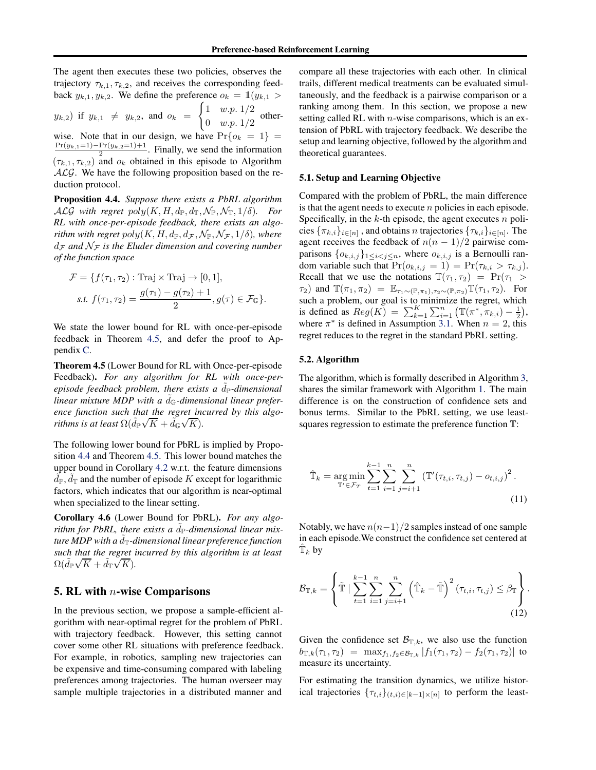The agent then executes these two policies, observes the trajectory  $\tau_{k,1}, \tau_{k,2}$ , and receives the corresponding feedback  $y_{k,1}, y_{k,2}$ . We define the preference  $o_k = \mathbb{1}(y_{k,1} >$  $(y_{k,2})$  if  $y_{k,1} \neq y_{k,2}$ , and  $o_k =$  $\int 1 \quad w.p. 1/2$  $\begin{array}{cc} 0 & w.p. 1/2 \\ w.p. 1/2 \end{array}$  otherwise. Note that in our design, we have  $Pr\{o_k = 1\} = \frac{Pr(y_{k,1}=1) - Pr(y_{k,2}=1)+1}{2}$ . Finally, we send the information  $(\tau_{k,1}, \tau_{k,2})$  and  $o_k$  obtained in this episode to Algorithm  $ALG$ . We have the following proposition based on the reduction protocol.

<span id="page-6-1"></span>Proposition 4.4. *Suppose there exists a PbRL algorithm*  $\mathcal{ALG}$  with regret  $poly(K, H, d_{\mathbb{P}}, d_{\mathbb{T}}, \mathcal{N}_{\mathbb{P}}, \mathcal{N}_{\mathbb{T}}, 1/\delta)$ *. For RL with once-per-episode feedback, there exists an algorithm with regret*  $poly(K, H, d_{\mathbb{P}}, d_{\mathcal{F}}, \mathcal{N}_{\mathbb{P}}, \mathcal{N}_{\mathcal{F}}, 1/\delta)$ *, where*  $d_{\mathcal{F}}$  *and*  $\mathcal{N}_{\mathcal{F}}$  *is the Eluder dimension and covering number of the function space*

$$
\mathcal{F} = \{ f(\tau_1, \tau_2) : \text{Traj} \times \text{Traj} \to [0, 1],
$$
  
s.t. 
$$
f(\tau_1, \tau_2) = \frac{g(\tau_1) - g(\tau_2) + 1}{2}, g(\tau) \in \mathcal{F}_{\mathbb{G}} \}.
$$

We state the lower bound for RL with once-per-episode feedback in Theorem [4.5,](#page-6-0) and defer the proof to Appendix [C.](#page-17-0)

<span id="page-6-0"></span>Theorem 4.5 (Lower Bound for RL with Once-per-episode Feedback). *For any algorithm for RL with once-perepisode feedback problem, there exists a*  $\ddot{d}_P$ *-dimensional* linear mixture MDP with a  $\tilde{d}_G$ -dimensional linear prefer*ence function such that the regret incurred by this algorithms is at least*  $\Omega(\tilde{d}_P \sqrt{K} + \tilde{d}_G \sqrt{K})$ .

The following lower bound for PbRL is implied by Proposition [4.4](#page-6-1) and Theorem [4.5.](#page-6-0) This lower bound matches the upper bound in Corollary [4.2](#page-5-4) w.r.t. the feature dimensions  $\tilde{d}_{\mathbb{P}}, \tilde{d}_{\mathbb{T}}$  and the number of episode K except for logarithmic factors, which indicates that our algorithm is near-optimal when specialized to the linear setting.

<span id="page-6-4"></span>Corollary 4.6 (Lower Bound for PbRL). *For any algorithm for PbRL, there exists a*  $\tilde{d}_P$ -dimensional linear mix*ture MDP with a d*<sub>T</sub>-dimensional linear preference function *such that the regret incurred by this algorithm is at least*  $\Omega(\tilde{d}_{\mathbb{P}}\sqrt{K}+\tilde{d}_{\mathbb{T}}\sqrt{K}).$ 

### **5. RL with**  $n$ **-wise Comparisons**

In the previous section, we propose a sample-efficient algorithm with near-optimal regret for the problem of PbRL with trajectory feedback. However, this setting cannot cover some other RL situations with preference feedback. For example, in robotics, sampling new trajectories can be expensive and time-consuming compared with labeling preferences among trajectories. The human overseer may sample multiple trajectories in a distributed manner and

compare all these trajectories with each other. In clinical trails, different medical treatments can be evaluated simultaneously, and the feedback is a pairwise comparison or a ranking among them. In this section, we propose a new setting called RL with  $n$ -wise comparisons, which is an extension of PbRL with trajectory feedback. We describe the setup and learning objective, followed by the algorithm and theoretical guarantees.

#### 5.1. Setup and Learning Objective

Compared with the problem of PbRL, the main difference is that the agent needs to execute  $n$  policies in each episode. Specifically, in the  $k$ -th episode, the agent executes  $n$  policies  $\{\pi_{k,i}\}_{i\in[n]}$  , and obtains  $n$  trajectories  $\{\tau_{k,i}\}_{i\in[n]}$ . The agent receives the feedback of  $n(n - 1)/2$  pairwise comparisons  $\{o_{k,i,j}\}_{1\leq i < j \leq n}$ , where  $o_{k,i,j}$  is a Bernoulli random variable such that  $Pr(o_{k,i,j} = 1) = Pr(\tau_{k,i} > \tau_{k,j}).$ Recall that we use the notations  $\mathbb{T}(\tau_1, \tau_2) = \Pr(\tau_1 >$  $\tau_1$ ) and  $\mathbb{T}(\pi_1, \pi_2) = \mathbb{E}_{\tau_1 \sim (\mathbb{P}, \pi_1), \tau_2 \sim (\mathbb{P}, \pi_2)} \mathbb{T}(\tau_1, \tau_2)$ . For such a problem, our goal is to minimize the regret, which is defined as  $Reg(K) = \sum_{k=1}^{K} \sum_{i=1}^{n} (\mathbb{T}(\pi^*, \pi_{k,i}) - \frac{1}{2}),$ where  $\pi^*$  is defined in Assumption [3.1.](#page-2-0) When  $n = 2$ , this regret reduces to the regret in the standard PbRL setting.

#### 5.2. Algorithm

The algorithm, which is formally described in Algorithm [3,](#page-7-0) shares the similar framework with Algorithm [1.](#page-4-0) The main difference is on the construction of confidence sets and bonus terms. Similar to the PbRL setting, we use leastsquares regression to estimate the preference function T:

<span id="page-6-2"></span>
$$
\hat{\mathbb{T}}_k = \underset{\mathbb{T}' \in \mathcal{F}_T}{\arg \min} \sum_{t=1}^{k-1} \sum_{i=1}^n \sum_{j=i+1}^n \left( \mathbb{T}'(\tau_{t,i}, \tau_{t,j}) - o_{t,i,j} \right)^2.
$$
\n(11)

Notably, we have  $n(n-1)/2$  samples instead of one sample in each episode.We construct the confidence set centered at  $\hat{\mathbb{T}}_k$  by

<span id="page-6-3"></span>
$$
\mathcal{B}_{\mathbb{T},k} = \left\{ \tilde{\mathbb{T}} \mid \sum_{t=1}^{k-1} \sum_{i=1}^n \sum_{j=i+1}^n \left( \hat{\mathbb{T}}_k - \tilde{\mathbb{T}} \right)^2 (\tau_{t,i}, \tau_{t,j}) \leq \beta_{\mathbb{T}} \right\}.
$$
\n(12)

Given the confidence set  $\mathcal{B}_{\mathbb{T},k}$ , we also use the function  $b_{\mathbb{T},k}(\tau_1,\tau_2) = \max_{f_1,f_2 \in \mathcal{B}_{\mathbb{T},k}} |f_1(\tau_1,\tau_2) - f_2(\tau_1,\tau_2)|$  to measure its uncertainty.

For estimating the transition dynamics, we utilize historical trajectories  $\{\tau_{t,i}\}_{(t,i)\in[k-1]\times[n]}$  to perform the least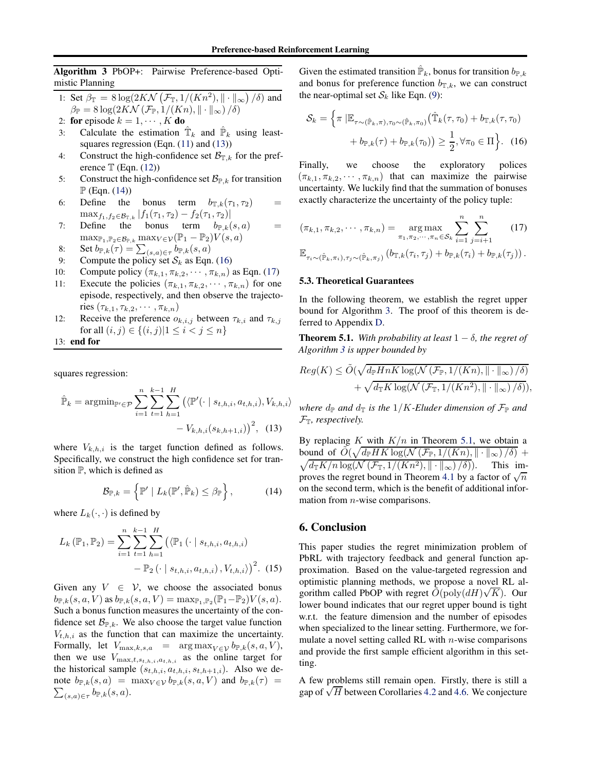<span id="page-7-0"></span>Algorithm 3 PbOP+: Pairwise Preference-based Optimistic Planning

1: Set 
$$
\beta_{\mathbb{T}} = 8 \log(2KN\left(\mathcal{F}_{\mathbb{T}}, 1/(Kn^2), || \cdot ||_{\infty}\right) / \delta)
$$
 and  $\beta_{\mathbb{P}} = 8 \log(2KN\left(\mathcal{F}_{\mathbb{P}}, 1/(Kn), || \cdot ||_{\infty}\right) / \delta)$ 

2: **for** episode  $k = 1, \dots, K$  **do**<br>3: Calculate the estimation

- 3: Calculate the estimation  $\hat{T}_k$  and  $\hat{P}_k$  using least-squares regression (Eqn. [\(11\)](#page-6-2) and [\(13\)](#page-7-1))
- 4: Construct the high-confidence set  $\mathcal{B}_{\mathbb{T},k}$  for the preference  $\mathbb T$  (Eqn. [\(12\)](#page-6-3))
- 5: Construct the high-confidence set  $\mathcal{B}_{\mathbb{P},k}$  for transition  $\mathbb{P}$  (Eqn. [\(14\)](#page-7-2))
- 6: Define the bonus term  $b_{\mathbb{T},k}(\tau_1, \tau_2)$  $\max_{f_1,f_2\in\mathcal{B}_{\mathbb{T},k}}|f_1(\tau_1,\tau_2)-f_2(\tau_1,\tau_2)|$
- 7: Define the bonus term  $b_{\mathbb{P},k}(s, a)$  =  $\max_{\mathbb{P}_1,\mathbb{P}_2\in\mathcal{B}_{\mathbb{P},k}}\max_{V\in\mathcal{V}}(\mathbb{P}_1-\mathbb{P}_2)V(s,a)$
- 8: Set  $b_{\mathbb{P},k}(\tau) = \sum_{(s,a)\in\tau} b_{\mathbb{P},k}(s,a)$
- 9: Compute the policy set  $S_k$  as Eqn. [\(16\)](#page-7-3)<br>10: Compute policy  $(\pi_{k,1}, \pi_{k,2}, \dots, \pi_{k,n})$
- 10: Compute policy  $(\pi_{k,1}, \pi_{k,2}, \cdots, \pi_{k,n})$  as Eqn. [\(17\)](#page-7-4)<br>11: Execute the policies  $(\pi_{k,1}, \pi_{k,2}, \cdots, \pi_{k,n})$  for one
- Execute the policies  $(\pi_{k,1}, \pi_{k,2}, \cdots, \pi_{k,n})$  for one episode, respectively, and then observe the trajectories  $(\tau_{k,1}, \tau_{k,2}, \cdots, \pi_{k,n})$
- 12: Receive the preference  $o_{k,i,j}$  between  $\tau_{k,i}$  and  $\tau_{k,j}$ for all  $(i, j) \in \{(i, j) | 1 \le i < j \le n\}$

13: end for

squares regression:

$$
\hat{\mathbb{P}}_k = \operatorname{argmin}_{\mathbb{P}' \in \mathcal{P}} \sum_{i=1}^n \sum_{t=1}^{k-1} \sum_{h=1}^H \left( \langle \mathbb{P}'(\cdot \mid s_{t,h,i}, a_{t,h,i}), V_{k,h,i} \rangle - V_{k,h,i}(s_{k,h+1,i}) \right)^2, \tag{13}
$$

where  $V_{k,h,i}$  is the target function defined as follows. Specifically, we construct the high confidence set for transition  $P$ , which is defined as

$$
\mathcal{B}_{\mathbb{P},k} = \left\{ \mathbb{P}' \mid L_k(\mathbb{P}', \hat{\mathbb{P}}_k) \leq \beta_{\mathbb{P}} \right\},\qquad(14)
$$

where  $L_k(\cdot, \cdot)$  is defined by

$$
L_k(\mathbb{P}_1, \mathbb{P}_2) = \sum_{i=1}^n \sum_{t=1}^k \sum_{h=1}^H \left( \langle \mathbb{P}_1(\cdot | s_{t,h,i}, a_{t,h,i}) - \mathbb{P}_2(\cdot | s_{t,h,i}, a_{t,h,i}), V_{t,h,i} \rangle \right)^2.
$$
 (15)

Given any  $V \in V$ , we choose the associated bonus  $b_{\mathbb{P},k}(s,a,V)$  as  $b_{\mathbb{P},k}(s,a,V) = \max_{\mathbb{P}_1,\mathbb{P}_2}(\mathbb{P}_1-\mathbb{P}_2)V(s,a).$ Such a bonus function measures the uncertainty of the confidence set  $\mathcal{B}_{\mathbb{P},k}$ . We also choose the target value function  $V_{t,h,i}$  as the function that can maximize the uncertainty. Formally, let  $V_{\text{max},k,s,a}$  =  $\arg \max_{V \in \mathcal{V}} b_{\mathbb{P},k}(s, a, V)$ , then we use  $V_{\text{max},t,s_{t,h,i},a_{t,h,i}}$  as the online target for the historical sample  $(s_{t,h,i}, a_{t,h,i}, s_{t,h+1,i})$ . Also we de- $\sum_{(s,a)\in\tau} b_{\mathbb{P},k}(s,a)$ . note  $b_{\mathbb{P},k}(s, a) = \max_{V \in \mathcal{V}} b_{\mathbb{P},k}(s, a, V)$  and  $b_{\mathbb{P},k}(\tau) =$ 

Given the estimated transition  $\hat{\mathbb{P}}_k$ , bonus for transition  $b_{\mathbb{P},k}$ and bonus for preference function  $b_{\mathbb{T},k}$ , we can construct the near-optimal set  $S_k$  like Eqn. [\(9\)](#page-5-0):

<span id="page-7-3"></span>
$$
S_k = \left\{ \pi \left| \mathbb{E}_{\tau \sim (\hat{\mathbb{P}}_k, \pi), \tau_0 \sim (\hat{\mathbb{P}}_k, \pi_0)} \right( \hat{\mathbb{T}}_k(\tau, \tau_0) + b_{\mathbb{T}, k}(\tau, \tau_0) \right. \\ \left. + b_{\mathbb{P}, k}(\tau) + b_{\mathbb{P}, k}(\tau_0) \right) \ge \frac{1}{2}, \forall \pi_0 \in \Pi \right\}.
$$
 (16)

Finally, we choose the exploratory polices  $(\pi_{k,1}, \pi_{k,2}, \cdots, \pi_{k,n})$  that can maximize the pairwise uncertainty. We luckily find that the summation of bonuses exactly characterize the uncertainty of the policy tuple:

<span id="page-7-4"></span>
$$
(\pi_{k,1}, \pi_{k,2}, \cdots, \pi_{k,n}) = \underset{\pi_1, \pi_2, \cdots, \pi_n \in S_k}{\arg \max} \sum_{i=1}^n \sum_{j=i+1}^n \qquad (17)
$$

$$
\mathbb{E}_{\tau_i \sim (\hat{\mathbb{P}}_k, \pi_i), \tau_j \sim (\hat{\mathbb{P}}_k, \pi_j)} (b_{\mathbb{T},k}(\tau_i, \tau_j) + b_{\mathbb{P},k}(\tau_i) + b_{\mathbb{P},k}(\tau_j)).
$$

#### 5.3. Theoretical Guarantees

In the following theorem, we establish the regret upper bound for Algorithm [3.](#page-7-0) The proof of this theorem is deferred to Appendix [D.](#page-17-1)

<span id="page-7-5"></span>**Theorem 5.1.** *With probability at least*  $1 - \delta$ *, the regret of Algorithm [3](#page-7-0) is upper bounded by*

$$
Reg(K) \le \tilde{O}(\sqrt{d_{\mathbb{P}}HnK\log(N(\mathcal{F}_{\mathbb{P}},1/(Kn),\|\cdot\|_{\infty})/\delta)}) + \sqrt{d_{\mathbb{T}}K\log(N(\mathcal{F}_{\mathbb{T}},1/(Kn^2),\|\cdot\|_{\infty})/\delta)}),
$$

*where*  $d_{\mathbb{P}}$  *and*  $d_{\mathbb{T}}$  *is the*  $1/K$ *-Eluder dimension of*  $\mathcal{F}_{\mathbb{P}}$  *and*  $\mathcal{F}_{\mathbb{T}}$ *, respectively.* 

<span id="page-7-1"></span>By replacing  $K$  with  $K/n$  in Theorem [5.1,](#page-7-5) we obtain a bound of  $\tilde{O}(\sqrt{d_{\mathbb{P}}HK\log(N(\mathcal{F}_{\mathbb{P}},1/(Kn),\|\cdot\|_{\infty})/\delta)}$  +  $\sqrt{d_{\mathbb{T}}K/n\log(\mathcal{N}(\mathcal{F}_{\mathbb{T}},1/(Kn^2),\|\cdot\|_{\infty})/\delta)})$ . This im-proves the regret bound in Theorem [4.1](#page-5-2) by a factor of  $\sqrt{n}$ on the second term, which is the benefit of additional information from  $n$ -wise comparisons.

### <span id="page-7-2"></span>6. Conclusion

This paper studies the regret minimization problem of PbRL with trajectory feedback and general function approximation. Based on the value-targeted regression and optimistic planning methods, we propose a novel RL algorithm called PbOP with regret  $\tilde{O}(\text{poly}(dH)\sqrt{K})$ . Our lower bound indicates that our regret upper bound is tight w.r.t. the feature dimension and the number of episodes when specialized to the linear setting. Furthermore, we formulate a novel setting called RL with  $n$ -wise comparisons and provide the first sample efficient algorithm in this setting.

A few problems still remain open. Firstly, there is still a gap of  $\sqrt{H}$  between Corollaries [4.2](#page-5-4) and [4.6.](#page-6-4) We conjecture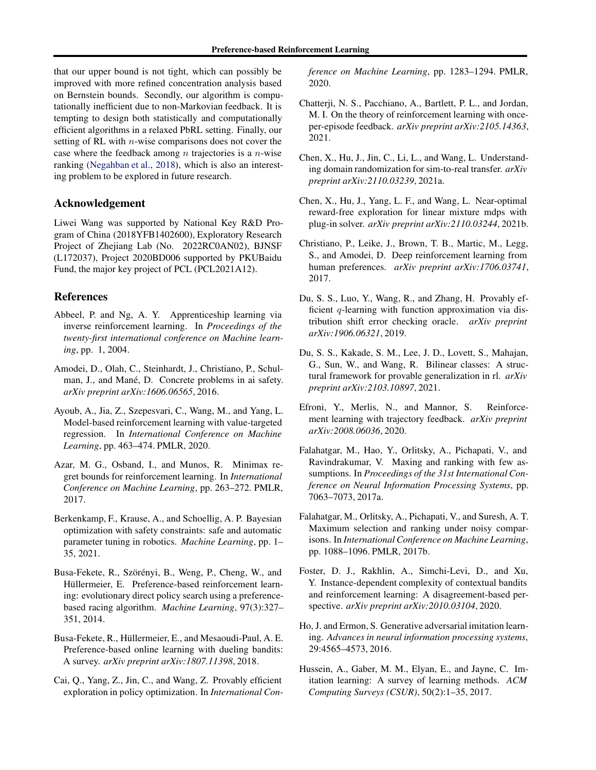that our upper bound is not tight, which can possibly be improved with more refined concentration analysis based on Bernstein bounds. Secondly, our algorithm is computationally inefficient due to non-Markovian feedback. It is tempting to design both statistically and computationally efficient algorithms in a relaxed PbRL setting. Finally, our setting of RL with n-wise comparisons does not cover the case where the feedback among  $n$  trajectories is a  $n$ -wise ranking [\(Negahban et al.](#page-9-24), [2018](#page-9-24)), which is also an interesting problem to be explored in future research.

## Acknowledgement

Liwei Wang was supported by National Key R&D Program of China (2018YFB1402600), Exploratory Research Project of Zhejiang Lab (No. 2022RC0AN02), BJNSF (L172037), Project 2020BD006 supported by PKUBaidu Fund, the major key project of PCL (PCL2021A12).

## References

- <span id="page-8-2"></span>Abbeel, P. and Ng, A. Y. Apprenticeship learning via inverse reinforcement learning. In *Proceedings of the twenty-first international conference on Machine learning*, pp. 1, 2004.
- <span id="page-8-0"></span>Amodei, D., Olah, C., Steinhardt, J., Christiano, P., Schulman, J., and Mané, D. Concrete problems in ai safety. *arXiv preprint arXiv:1606.06565*, 2016.
- <span id="page-8-8"></span>Ayoub, A., Jia, Z., Szepesvari, C., Wang, M., and Yang, L. Model-based reinforcement learning with value-targeted regression. In *International Conference on Machine Learning*, pp. 463–474. PMLR, 2020.
- <span id="page-8-19"></span>Azar, M. G., Osband, I., and Munos, R. Minimax regret bounds for reinforcement learning. In *International Conference on Machine Learning*, pp. 263–272. PMLR, 2017.
- <span id="page-8-1"></span>Berkenkamp, F., Krause, A., and Schoellig, A. P. Bayesian optimization with safety constraints: safe and automatic parameter tuning in robotics. *Machine Learning*, pp. 1– 35, 2021.
- <span id="page-8-5"></span>Busa-Fekete, R., Szörényi, B., Weng, P., Cheng, W., and Hüllermeier, E. Preference-based reinforcement learning: evolutionary direct policy search using a preferencebased racing algorithm. *Machine Learning*, 97(3):327– 351, 2014.
- <span id="page-8-14"></span>Busa-Fekete, R., Hüllermeier, E., and Mesaoudi-Paul, A. E. Preference-based online learning with dueling bandits: A survey. *arXiv preprint arXiv:1807.11398*, 2018.
- <span id="page-8-15"></span>Cai, Q., Yang, Z., Jin, C., and Wang, Z. Provably efficient exploration in policy optimization. In *International Con-*

*ference on Machine Learning*, pp. 1283–1294. PMLR, 2020.

- <span id="page-8-11"></span>Chatterji, N. S., Pacchiano, A., Bartlett, P. L., and Jordan, M. I. On the theory of reinforcement learning with onceper-episode feedback. *arXiv preprint arXiv:2105.14363*, 2021.
- <span id="page-8-18"></span>Chen, X., Hu, J., Jin, C., Li, L., and Wang, L. Understanding domain randomization for sim-to-real transfer. *arXiv preprint arXiv:2110.03239*, 2021a.
- <span id="page-8-9"></span>Chen, X., Hu, J., Yang, L. F., and Wang, L. Near-optimal reward-free exploration for linear mixture mdps with plug-in solver. *arXiv preprint arXiv:2110.03244*, 2021b.
- <span id="page-8-6"></span>Christiano, P., Leike, J., Brown, T. B., Martic, M., Legg, S., and Amodei, D. Deep reinforcement learning from human preferences. *arXiv preprint arXiv:1706.03741*, 2017.
- <span id="page-8-7"></span>Du, S. S., Luo, Y., Wang, R., and Zhang, H. Provably efficient  $q$ -learning with function approximation via distribution shift error checking oracle. *arXiv preprint arXiv:1906.06321*, 2019.
- <span id="page-8-17"></span>Du, S. S., Kakade, S. M., Lee, J. D., Lovett, S., Mahajan, G., Sun, W., and Wang, R. Bilinear classes: A structural framework for provable generalization in rl. *arXiv preprint arXiv:2103.10897*, 2021.
- <span id="page-8-10"></span>Efroni, Y., Merlis, N., and Mannor, S. Reinforcement learning with trajectory feedback. *arXiv preprint arXiv:2008.06036*, 2020.
- <span id="page-8-12"></span>Falahatgar, M., Hao, Y., Orlitsky, A., Pichapati, V., and Ravindrakumar, V. Maxing and ranking with few assumptions. In *Proceedings of the 31st International Conference on Neural Information Processing Systems*, pp. 7063–7073, 2017a.
- <span id="page-8-13"></span>Falahatgar, M., Orlitsky, A., Pichapati, V., and Suresh, A. T. Maximum selection and ranking under noisy comparisons. In *International Conference on Machine Learning*, pp. 1088–1096. PMLR, 2017b.
- <span id="page-8-16"></span>Foster, D. J., Rakhlin, A., Simchi-Levi, D., and Xu, Y. Instance-dependent complexity of contextual bandits and reinforcement learning: A disagreement-based perspective. *arXiv preprint arXiv:2010.03104*, 2020.
- <span id="page-8-3"></span>Ho, J. and Ermon, S. Generative adversarial imitation learning. *Advances in neural information processing systems*, 29:4565–4573, 2016.
- <span id="page-8-4"></span>Hussein, A., Gaber, M. M., Elyan, E., and Jayne, C. Imitation learning: A survey of learning methods. *ACM Computing Surveys (CSUR)*, 50(2):1–35, 2017.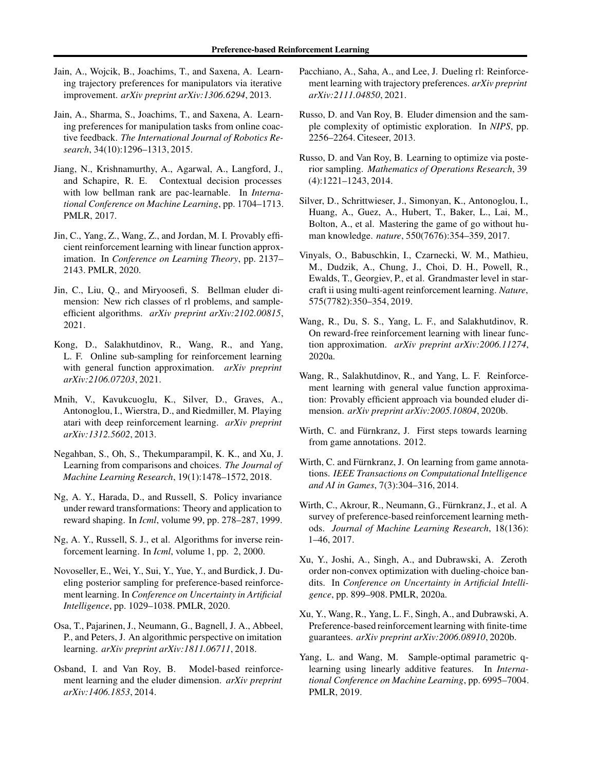- <span id="page-9-7"></span>Jain, A., Wojcik, B., Joachims, T., and Saxena, A. Learning trajectory preferences for manipulators via iterative improvement. *arXiv preprint arXiv:1306.6294*, 2013.
- <span id="page-9-8"></span>Jain, A., Sharma, S., Joachims, T., and Saxena, A. Learning preferences for manipulation tasks from online coactive feedback. *The International Journal of Robotics Research*, 34(10):1296–1313, 2015.
- <span id="page-9-20"></span>Jiang, N., Krishnamurthy, A., Agarwal, A., Langford, J., and Schapire, R. E. Contextual decision processes with low bellman rank are pac-learnable. In *International Conference on Machine Learning*, pp. 1704–1713. PMLR, 2017.
- <span id="page-9-16"></span>Jin, C., Yang, Z., Wang, Z., and Jordan, M. I. Provably efficient reinforcement learning with linear function approximation. In *Conference on Learning Theory*, pp. 2137– 2143. PMLR, 2020.
- <span id="page-9-22"></span>Jin, C., Liu, Q., and Miryoosefi, S. Bellman eluder dimension: New rich classes of rl problems, and sampleefficient algorithms. *arXiv preprint arXiv:2102.00815*, 2021.
- <span id="page-9-21"></span>Kong, D., Salakhutdinov, R., Wang, R., and Yang, L. F. Online sub-sampling for reinforcement learning with general function approximation. *arXiv preprint arXiv:2106.07203*, 2021.
- <span id="page-9-0"></span>Mnih, V., Kavukcuoglu, K., Silver, D., Graves, A., Antonoglou, I., Wierstra, D., and Riedmiller, M. Playing atari with deep reinforcement learning. *arXiv preprint arXiv:1312.5602*, 2013.
- <span id="page-9-24"></span>Negahban, S., Oh, S., Thekumparampil, K. K., and Xu, J. Learning from comparisons and choices. *The Journal of Machine Learning Research*, 19(1):1478–1572, 2018.
- <span id="page-9-3"></span>Ng, A. Y., Harada, D., and Russell, S. Policy invariance under reward transformations: Theory and application to reward shaping. In *Icml*, volume 99, pp. 278–287, 1999.
- <span id="page-9-4"></span>Ng, A. Y., Russell, S. J., et al. Algorithms for inverse reinforcement learning. In *Icml*, volume 1, pp. 2, 2000.
- <span id="page-9-11"></span>Novoseller, E., Wei, Y., Sui, Y., Yue, Y., and Burdick, J. Dueling posterior sampling for preference-based reinforcement learning. In *Conference on Uncertainty in Artificial Intelligence*, pp. 1029–1038. PMLR, 2020.
- <span id="page-9-5"></span>Osa, T., Pajarinen, J., Neumann, G., Bagnell, J. A., Abbeel, P., and Peters, J. An algorithmic perspective on imitation learning. *arXiv preprint arXiv:1811.06711*, 2018.
- <span id="page-9-23"></span>Osband, I. and Van Roy, B. Model-based reinforcement learning and the eluder dimension. *arXiv preprint arXiv:1406.1853*, 2014.
- <span id="page-9-13"></span>Pacchiano, A., Saha, A., and Lee, J. Dueling rl: Reinforcement learning with trajectory preferences. *arXiv preprint arXiv:2111.04850*, 2021.
- <span id="page-9-18"></span>Russo, D. and Van Roy, B. Eluder dimension and the sample complexity of optimistic exploration. In *NIPS*, pp. 2256–2264. Citeseer, 2013.
- <span id="page-9-25"></span>Russo, D. and Van Roy, B. Learning to optimize via posterior sampling. *Mathematics of Operations Research*, 39 (4):1221–1243, 2014.
- <span id="page-9-1"></span>Silver, D., Schrittwieser, J., Simonyan, K., Antonoglou, I., Huang, A., Guez, A., Hubert, T., Baker, L., Lai, M., Bolton, A., et al. Mastering the game of go without human knowledge. *nature*, 550(7676):354–359, 2017.
- <span id="page-9-2"></span>Vinyals, O., Babuschkin, I., Czarnecki, W. M., Mathieu, M., Dudzik, A., Chung, J., Choi, D. H., Powell, R., Ewalds, T., Georgiev, P., et al. Grandmaster level in starcraft ii using multi-agent reinforcement learning. *Nature*, 575(7782):350–354, 2019.
- <span id="page-9-17"></span>Wang, R., Du, S. S., Yang, L. F., and Salakhutdinov, R. On reward-free reinforcement learning with linear function approximation. *arXiv preprint arXiv:2006.11274*, 2020a.
- <span id="page-9-15"></span>Wang, R., Salakhutdinov, R., and Yang, L. F. Reinforcement learning with general value function approximation: Provably efficient approach via bounded eluder dimension. *arXiv preprint arXiv:2005.10804*, 2020b.
- <span id="page-9-9"></span>Wirth, C. and Fürnkranz, J. First steps towards learning from game annotations. 2012.
- <span id="page-9-10"></span>Wirth, C. and Fürnkranz, J. On learning from game annotations. *IEEE Transactions on Computational Intelligence and AI in Games*, 7(3):304–316, 2014.
- <span id="page-9-6"></span>Wirth, C., Akrour, R., Neumann, G., Fürnkranz, J., et al. A. survey of preference-based reinforcement learning methods. *Journal of Machine Learning Research*, 18(136): 1–46, 2017.
- <span id="page-9-19"></span>Xu, Y., Joshi, A., Singh, A., and Dubrawski, A. Zeroth order non-convex optimization with dueling-choice bandits. In *Conference on Uncertainty in Artificial Intelligence*, pp. 899–908. PMLR, 2020a.
- <span id="page-9-12"></span>Xu, Y., Wang, R., Yang, L. F., Singh, A., and Dubrawski, A. Preference-based reinforcement learning with finite-time guarantees. *arXiv preprint arXiv:2006.08910*, 2020b.
- <span id="page-9-14"></span>Yang, L. and Wang, M. Sample-optimal parametric qlearning using linearly additive features. In *International Conference on Machine Learning*, pp. 6995–7004. PMLR, 2019.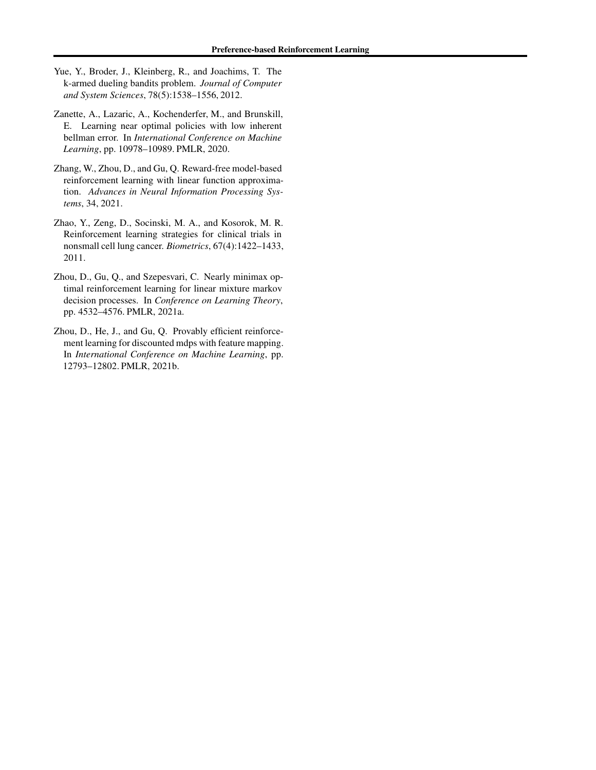- <span id="page-10-4"></span>Yue, Y., Broder, J., Kleinberg, R., and Joachims, T. The k-armed dueling bandits problem. *Journal of Computer and System Sciences*, 78(5):1538–1556, 2012.
- <span id="page-10-1"></span>Zanette, A., Lazaric, A., Kochenderfer, M., and Brunskill, E. Learning near optimal policies with low inherent bellman error. In *International Conference on Machine Learning*, pp. 10978–10989. PMLR, 2020.
- <span id="page-10-5"></span>Zhang, W., Zhou, D., and Gu, Q. Reward-free model-based reinforcement learning with linear function approximation. *Advances in Neural Information Processing Systems*, 34, 2021.
- <span id="page-10-0"></span>Zhao, Y., Zeng, D., Socinski, M. A., and Kosorok, M. R. Reinforcement learning strategies for clinical trials in nonsmall cell lung cancer. *Biometrics*, 67(4):1422–1433, 2011.
- <span id="page-10-3"></span>Zhou, D., Gu, Q., and Szepesvari, C. Nearly minimax optimal reinforcement learning for linear mixture markov decision processes. In *Conference on Learning Theory*, pp. 4532–4576. PMLR, 2021a.
- <span id="page-10-2"></span>Zhou, D., He, J., and Gu, Q. Provably efficient reinforcement learning for discounted mdps with feature mapping. In *International Conference on Machine Learning*, pp. 12793–12802. PMLR, 2021b.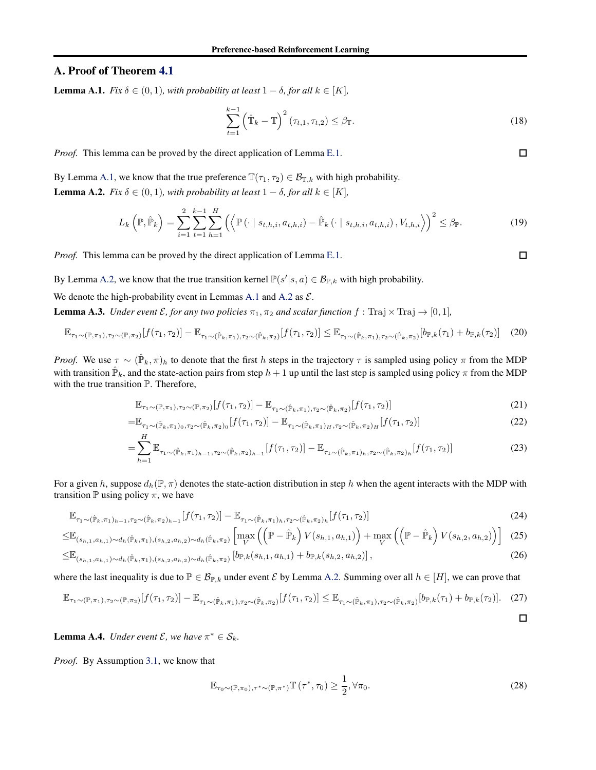# <span id="page-11-1"></span><span id="page-11-0"></span>A. Proof of Theorem [4.1](#page-5-2)

**Lemma A.1.** *Fix*  $\delta \in (0, 1)$ *, with probability at least*  $1 - \delta$ *, for all*  $k \in [K]$ *,* 

$$
\sum_{t=1}^{k-1} \left(\hat{\mathbb{T}}_k - \mathbb{T}\right)^2 (\tau_{t,1}, \tau_{t,2}) \le \beta_{\mathbb{T}}.\tag{18}
$$

*Proof.* This lemma can be proved by the direct application of Lemma [E.1.](#page-20-0)

<span id="page-11-2"></span>By Lemma [A.1,](#page-11-1) we know that the true preference  $\mathbb{T}(\tau_1, \tau_2) \in \mathcal{B}_{\mathbb{T},k}$  with high probability. **Lemma A.2.** *Fix*  $\delta \in (0, 1)$ *, with probability at least*  $1 - \delta$ *, for all*  $k \in [K]$ *,* 

$$
L_{k}\left(\mathbb{P},\hat{\mathbb{P}}_{k}\right) = \sum_{i=1}^{2} \sum_{t=1}^{k-1} \sum_{h=1}^{H} \left( \left\langle \mathbb{P}\left(\cdot \mid s_{t,h,i}, a_{t,h,i}\right) - \hat{\mathbb{P}}_{k}\left(\cdot \mid s_{t,h,i}, a_{t,h,i}\right), V_{t,h,i} \right\rangle \right)^{2} \leq \beta_{\mathbb{P}}.
$$
 (19)

*Proof.* This lemma can be proved by the direct application of Lemma [E.1.](#page-20-0)

By Lemma [A.2,](#page-11-2) we know that the true transition kernel  $\mathbb{P}(s'|s, a) \in \mathcal{B}_{\mathbb{P},k}$  with high probability.

<span id="page-11-3"></span>We denote the high-probability event in Lemmas [A.1](#page-11-1) and [A.2](#page-11-2) as  $\mathcal{E}$ .

**Lemma A.3.** *Under event*  $\mathcal{E}$ *, for any two policies*  $\pi_1$ *,*  $\pi_2$  *and scalar function*  $f : \text{Traj} \times \text{Traj} \rightarrow [0, 1]$ *,* 

$$
\mathbb{E}_{\tau_1 \sim (\mathbb{P}, \pi_1), \tau_2 \sim (\mathbb{P}, \pi_2)}[f(\tau_1, \tau_2)] - \mathbb{E}_{\tau_1 \sim (\hat{\mathbb{P}}_k, \pi_1), \tau_2 \sim (\hat{\mathbb{P}}_k, \pi_2)}[f(\tau_1, \tau_2)] \leq \mathbb{E}_{\tau_1 \sim (\hat{\mathbb{P}}_k, \pi_1), \tau_2 \sim (\hat{\mathbb{P}}_k, \pi_2)}[b_{\mathbb{P},k}(\tau_1) + b_{\mathbb{P},k}(\tau_2)] \tag{20}
$$

*Proof.* We use  $\tau \sim (\hat{P}_k, \pi)_h$  to denote that the first h steps in the trajectory  $\tau$  is sampled using policy  $\pi$  from the MDP with transition  $\hat{P}_k$ , and the state-action pairs from step  $h+1$  up until the last step is sampled using policy  $\pi$  from the MDP with the true transition  $\mathbb P$ . Therefore,

$$
\mathbb{E}_{\tau_1 \sim (\mathbb{P}, \pi_1), \tau_2 \sim (\mathbb{P}, \pi_2)}[f(\tau_1, \tau_2)] - \mathbb{E}_{\tau_1 \sim (\hat{\mathbb{P}}_k, \pi_1), \tau_2 \sim (\hat{\mathbb{P}}_k, \pi_2)}[f(\tau_1, \tau_2)]
$$
\n(21)

$$
=\mathbb{E}_{\tau_1 \sim (\hat{\mathbb{P}}_k, \pi_1)_0, \tau_2 \sim (\hat{\mathbb{P}}_k, \pi_2)_0} [f(\tau_1, \tau_2)] - \mathbb{E}_{\tau_1 \sim (\hat{\mathbb{P}}_k, \pi_1)_H, \tau_2 \sim (\hat{\mathbb{P}}_k, \pi_2)_H} [f(\tau_1, \tau_2)]
$$
\n(22)

$$
=\sum_{h=1}^{\infty} \mathbb{E}_{\tau_1 \sim (\hat{\mathbb{P}}_k, \pi_1)_{h-1}, \tau_2 \sim (\hat{\mathbb{P}}_k, \pi_2)_{h-1}}[f(\tau_1, \tau_2)] - \mathbb{E}_{\tau_1 \sim (\hat{\mathbb{P}}_k, \pi_1)_{h}, \tau_2 \sim (\hat{\mathbb{P}}_k, \pi_2)_{h}}[f(\tau_1, \tau_2)]
$$
\n(23)

For a given h, suppose  $d_h(\mathbb{P}, \pi)$  denotes the state-action distribution in step h when the agent interacts with the MDP with transition  $\mathbb P$  using policy  $\pi$ , we have

$$
\mathbb{E}_{\tau_1 \sim (\hat{\mathbb{P}}_k, \pi_1)_{h-1}, \tau_2 \sim (\hat{\mathbb{P}}_k, \pi_2)_{h-1}}[f(\tau_1, \tau_2)] - \mathbb{E}_{\tau_1 \sim (\hat{\mathbb{P}}_k, \pi_1)_{h}, \tau_2 \sim (\hat{\mathbb{P}}_k, \pi_2)_{h}}[f(\tau_1, \tau_2)]
$$
(24)

$$
\leq \mathbb{E}_{(s_{h,1},a_{h,1}) \sim d_h(\hat{\mathbb{P}}_k, \pi_1), (s_{h,2},a_{h,2}) \sim d_h(\hat{\mathbb{P}}_k, \pi_2)} \left[ \max_{V} \left( \left( \mathbb{P} - \hat{\mathbb{P}}_k \right) V(s_{h,1}, a_{h,1}) \right) + \max_{V} \left( \left( \mathbb{P} - \hat{\mathbb{P}}_k \right) V(s_{h,2}, a_{h,2}) \right) \right] \tag{25}
$$

$$
\leq \mathbb{E}_{(s_{h,1},a_{h,1}) \sim d_h(\hat{\mathbb{P}}_k,\pi_1),(s_{h,2},a_{h,2}) \sim d_h(\hat{\mathbb{P}}_k,\pi_2)} \left[ b_{\mathbb{P},k}(s_{h,1},a_{h,1}) + b_{\mathbb{P},k}(s_{h,2},a_{h,2}) \right],
$$
\n(26)

where the last inequality is due to  $P \in \mathcal{B}_{P,k}$  under event  $\mathcal E$  by Lemma [A.2.](#page-11-2) Summing over all  $h \in [H]$ , we can prove that

$$
\mathbb{E}_{\tau_1 \sim (\mathbb{P}, \pi_1), \tau_2 \sim (\mathbb{P}, \pi_2)}[f(\tau_1, \tau_2)] - \mathbb{E}_{\tau_1 \sim (\hat{\mathbb{P}}_k, \pi_1), \tau_2 \sim (\hat{\mathbb{P}}_k, \pi_2)}[f(\tau_1, \tau_2)] \leq \mathbb{E}_{\tau_1 \sim (\hat{\mathbb{P}}_k, \pi_1), \tau_2 \sim (\hat{\mathbb{P}}_k, \pi_2)}[b_{\mathbb{P},k}(\tau_1) + b_{\mathbb{P},k}(\tau_2)]. \tag{27}
$$

<span id="page-11-5"></span>**Lemma A.4.** *Under event*  $\mathcal{E}$ *, we have*  $\pi^* \in \mathcal{S}_k$ *.* 

*Proof.* By Assumption [3.1,](#page-2-0) we know that

<span id="page-11-4"></span>
$$
\mathbb{E}_{\tau_0 \sim (\mathbb{P}, \pi_0), \tau^* \sim (\mathbb{P}, \pi^*)} \mathbb{T} \left( \tau^*, \tau_0 \right) \ge \frac{1}{2}, \forall \pi_0.
$$
\n(28)

 $\Box$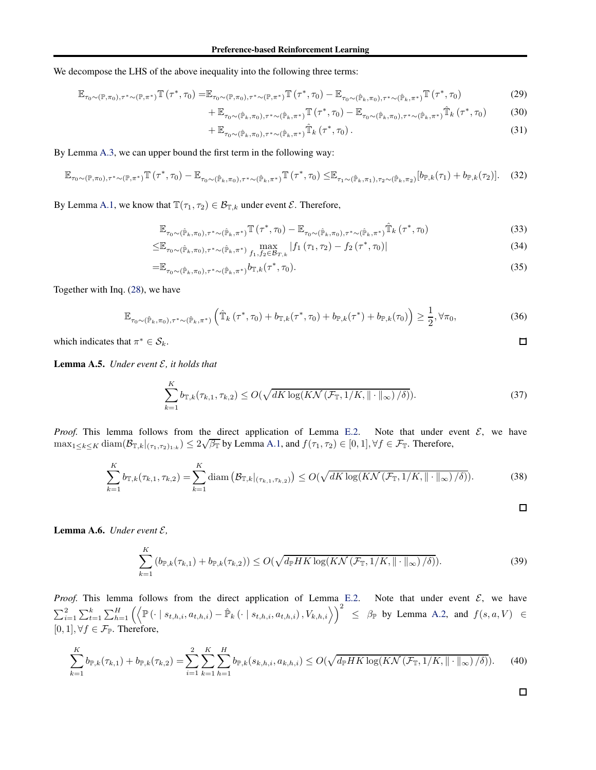We decompose the LHS of the above inequality into the following three terms:

$$
\mathbb{E}_{\tau_0 \sim (\mathbb{P}, \pi_0), \tau^* \sim (\mathbb{P}, \pi^*)} \mathbb{T}(\tau^*, \tau_0) = \mathbb{E}_{\tau_0 \sim (\mathbb{P}, \pi_0), \tau^* \sim (\mathbb{P}, \pi^*)} \mathbb{T}(\tau^*, \tau_0) - \mathbb{E}_{\tau_0 \sim (\hat{\mathbb{P}}_k, \pi_0), \tau^* \sim (\hat{\mathbb{P}}_k, \pi^*)} \mathbb{T}(\tau^*, \tau_0)
$$
\n(29)

$$
+\mathbb{E}_{\tau_0 \sim (\hat{\mathbb{P}}_k,\pi_0),\tau^* \sim (\hat{\mathbb{P}}_k,\pi^*)} \mathbb{T}(\tau^*,\tau_0) - \mathbb{E}_{\tau_0 \sim (\hat{\mathbb{P}}_k,\pi_0),\tau^* \sim (\hat{\mathbb{P}}_k,\pi^*)} \hat{\mathbb{T}}_k(\tau^*,\tau_0)
$$
(30)

$$
+\mathbb{E}_{\tau_0 \sim (\hat{\mathbb{P}}_k,\pi_0),\tau^* \sim (\hat{\mathbb{P}}_k,\pi^*)}\hat{\mathbb{T}}_k(\tau^*,\tau_0).
$$
\n(31)

By Lemma [A.3,](#page-11-3) we can upper bound the first term in the following way:

$$
\mathbb{E}_{\tau_0 \sim (\mathbb{P}, \pi_0), \tau^* \sim (\mathbb{P}, \pi^*)} \mathbb{T}(\tau^*, \tau_0) - \mathbb{E}_{\tau_0 \sim (\hat{\mathbb{P}}_k, \pi_0), \tau^* \sim (\hat{\mathbb{P}}_k, \pi^*)} \mathbb{T}(\tau^*, \tau_0) \leq \mathbb{E}_{\tau_1 \sim (\hat{\mathbb{P}}_k, \pi_1), \tau_2 \sim (\hat{\mathbb{P}}_k, \pi_2)} [b_{\mathbb{P},k}(\tau_1) + b_{\mathbb{P},k}(\tau_2)]. \tag{32}
$$

By Lemma [A.1,](#page-11-1) we know that  $\mathbb{T}(\tau_1, \tau_2) \in \mathcal{B}_{\mathbb{T},k}$  under event  $\mathcal{E}$ . Therefore,

$$
\mathbb{E}_{\tau_0 \sim (\hat{\mathbb{P}}_k, \pi_0), \tau^* \sim (\hat{\mathbb{P}}_k, \pi^*)} \mathbb{T} \left( \tau^*, \tau_0 \right) - \mathbb{E}_{\tau_0 \sim (\hat{\mathbb{P}}_k, \pi_0), \tau^* \sim (\hat{\mathbb{P}}_k, \pi^*)} \hat{\mathbb{T}}_k \left( \tau^*, \tau_0 \right)
$$
(33)

$$
\leq \mathbb{E}_{\tau_0 \sim (\hat{\mathbb{P}}_k, \pi_0), \tau^* \sim (\hat{\mathbb{P}}_k, \pi^*)} \max_{f_1, f_2 \in \mathcal{B}_{T,k}} |f_1(\tau_1, \tau_2) - f_2(\tau^*, \tau_0)|
$$
\n(34)

$$
=\mathbb{E}_{\tau_0\sim(\hat{\mathbb{P}}_k,\pi_0),\tau^*\sim(\hat{\mathbb{P}}_k,\pi^*)}b_{\mathbb{T},k}(\tau^*,\tau_0).
$$
\n(35)

Together with Inq. [\(28\)](#page-11-4), we have

$$
\mathbb{E}_{\tau_0 \sim (\hat{\mathbb{P}}_k, \pi_0), \tau^* \sim (\hat{\mathbb{P}}_k, \pi^*)} \left( \hat{\mathbb{T}}_k \left( \tau^*, \tau_0 \right) + b_{\mathbb{T}, k}(\tau^*, \tau_0) + b_{\mathbb{P}, k}(\tau^*) + b_{\mathbb{P}, k}(\tau_0) \right) \ge \frac{1}{2}, \forall \pi_0,
$$
\n(36)

which indicates that  $\pi^* \in \mathcal{S}_k$ .

<span id="page-12-0"></span>Lemma A.5. *Under event* E*, it holds that*

$$
\sum_{k=1}^{K} b_{\mathbb{T},k}(\tau_{k,1},\tau_{k,2}) \le O(\sqrt{dK \log(K\mathcal{N}(\mathcal{F}_{\mathbb{T}},1/K,\|\cdot\|_{\infty})/\delta)}).
$$
\n(37)

*Proof.* This lemma follows from the direct application of Lemma [E.2.](#page-20-1) Note that under event  $\mathcal{E}$ , we have  $\max_{1\leq k\leq K}$  diam $(\mathcal{B}_{T,k}|_{(\tau_1,\tau_2)_{1:k}}) \leq 2\sqrt{\beta_T}$  by Lemma [A.1,](#page-11-1) and  $f(\tau_1,\tau_2) \in [0,1], \forall f \in \mathcal{F}_T$ . Therefore,

$$
\sum_{k=1}^{K} b_{\mathbb{T},k}(\tau_{k,1},\tau_{k,2}) = \sum_{k=1}^{K} \text{diam}\left(\mathcal{B}_{\mathbb{T},k}|_{(\tau_{k,1},\tau_{k,2})}\right) \le O(\sqrt{dK\log(K\mathcal{N}\left(\mathcal{F}_{\mathbb{T}},1/K,\|\cdot\|_{\infty}\right)/\delta)}).
$$
(38)

 $\Box$ 

 $\Box$ 

<span id="page-12-1"></span>Lemma A.6. *Under event*  $\mathcal{E}$ *,* 

$$
\sum_{k=1}^{K} \left( b_{\mathbb{P},k}(\tau_{k,1}) + b_{\mathbb{P},k}(\tau_{k,2}) \right) \le O(\sqrt{d_{\mathbb{P}}HK \log(K\mathcal{N}\left(\mathcal{F}_{\mathbb{T}},1/K,\|\cdot\|_{\infty}\right)/\delta)}).
$$
\n(39)

*Proof.* This lemma follows from the direct application of Lemma [E.2.](#page-20-1) Note that under event  $\mathcal{E}$ , we have  $\sum_{i=1}^{2} \sum_{t=1}^{k} \sum_{h=1}^{H} \left( \left\langle \mathbb{P}(\cdot \mid s_{t,h,i}, a_{t,h,i}) - \hat{\mathbb{P}}_k(\cdot \mid s_{t,h,i}, a_{t,h,i}), V_{k,h,i} \right\rangle \right)^2 \leq \beta_{\mathbb{P}}$  by Lemma [A.2,](#page-11-2) and  $f(s, a, V) \in$  $[0, 1], \forall f \in \mathcal{F}_{\mathbb{P}}$ . Therefore,

$$
\sum_{k=1}^{K} b_{\mathbb{P},k}(\tau_{k,1}) + b_{\mathbb{P},k}(\tau_{k,2}) = \sum_{i=1}^{2} \sum_{k=1}^{K} \sum_{h=1}^{H} b_{\mathbb{P},k}(s_{k,h,i}, a_{k,h,i}) \le O(\sqrt{d_{\mathbb{P}}HK \log(K\mathcal{N}\left(\mathcal{F}_{\mathbb{T}}, 1/K, \|\cdot\|_{\infty}\right)/\delta)}). \tag{40}
$$

$$
\Box
$$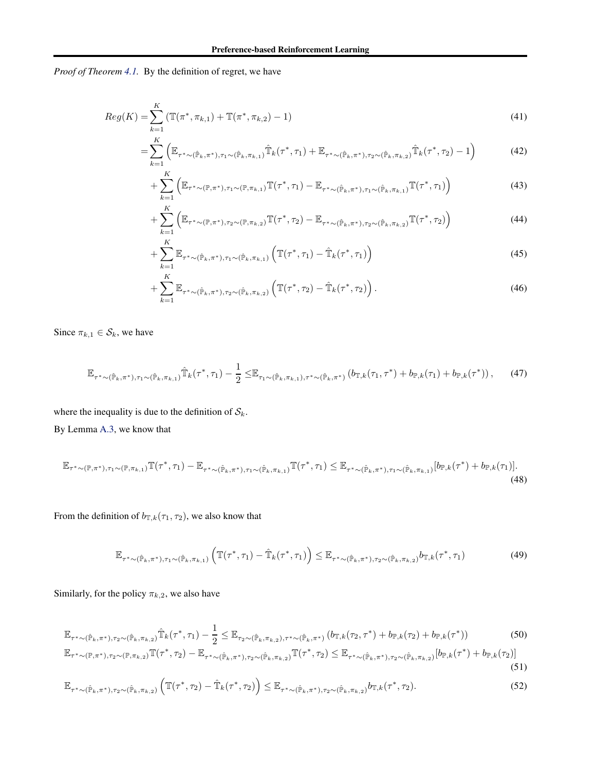*Proof of Theorem [4.1.](#page-5-2)* By the definition of regret, we have

$$
Reg(K) = \sum_{k=1}^{K} \left( \mathbb{T}(\pi^*, \pi_{k,1}) + \mathbb{T}(\pi^*, \pi_{k,2}) - 1 \right)
$$
\n(41)

$$
= \sum_{k=1}^{N} \left( \mathbb{E}_{\tau^* \sim (\hat{\mathbb{P}}_k, \pi^*), \tau_1 \sim (\hat{\mathbb{P}}_k, \pi_{k,1})} \hat{\mathbb{T}}_k(\tau^*, \tau_1) + \mathbb{E}_{\tau^* \sim (\hat{\mathbb{P}}_k, \pi^*), \tau_2 \sim (\hat{\mathbb{P}}_k, \pi_{k,2})} \hat{\mathbb{T}}_k(\tau^*, \tau_2) - 1 \right)
$$
(42)

<span id="page-13-0"></span>
$$
+\sum_{k=1}^{K} \left( \mathbb{E}_{\tau^{*} \sim (\mathbb{P}, \pi^{*}), \tau_{1} \sim (\mathbb{P}, \pi_{k,1})} \mathbb{T}(\tau^{*}, \tau_{1}) - \mathbb{E}_{\tau^{*} \sim (\hat{\mathbb{P}}_{k}, \pi^{*}), \tau_{1} \sim (\hat{\mathbb{P}}_{k}, \pi_{k,1})} \mathbb{T}(\tau^{*}, \tau_{1}) \right)
$$
(43)

$$
+\sum_{k=1}^{K} \left( \mathbb{E}_{\tau^{*} \sim (\mathbb{P}, \pi^{*}), \tau_{2} \sim (\mathbb{P}, \pi_{k,2})} \mathbb{T}(\tau^{*}, \tau_{2}) - \mathbb{E}_{\tau^{*} \sim (\hat{\mathbb{P}}_{k}, \pi^{*}), \tau_{2} \sim (\hat{\mathbb{P}}_{k}, \pi_{k,2})} \mathbb{T}(\tau^{*}, \tau_{2}) \right)
$$
(44)

$$
+\sum_{k=1}^{K} \mathbb{E}_{\tau^{*}\sim(\hat{\mathbb{P}}_{k},\pi^{*}),\tau_{1}\sim(\hat{\mathbb{P}}_{k},\pi_{k,1})} \left(\mathbb{T}(\tau^{*},\tau_{1})-\hat{\mathbb{T}}_{k}(\tau^{*},\tau_{1})\right)
$$
(45)

$$
+\sum_{k=1}^{K} \mathbb{E}_{\tau^{*}\sim(\hat{\mathbb{P}}_k,\pi^{*}),\tau_2\sim(\hat{\mathbb{P}}_k,\pi_{k,2})} \left(\mathbb{T}(\tau^{*},\tau_2)-\hat{\mathbb{T}}_k(\tau^{*},\tau_2)\right).
$$
\n(46)

Since  $\pi_{k,1} \in S_k$ , we have

$$
\mathbb{E}_{\tau^* \sim (\hat{\mathbb{P}}_k, \pi^*), \tau_1 \sim (\hat{\mathbb{P}}_k, \pi_{k,1})} \hat{\mathbb{T}}_k(\tau^*, \tau_1) - \frac{1}{2} \leq \mathbb{E}_{\tau_1 \sim (\hat{\mathbb{P}}_k, \pi_{k,1}), \tau^* \sim (\hat{\mathbb{P}}_k, \pi^*)} (b_{\mathbb{T},k}(\tau_1, \tau^*) + b_{\mathbb{P},k}(\tau_1) + b_{\mathbb{P},k}(\tau^*)), \tag{47}
$$

where the inequality is due to the definition of  $S_k$ . By Lemma [A.3,](#page-11-3) we know that

$$
\mathbb{E}_{\tau^* \sim (\mathbb{P}, \pi^*), \tau_1 \sim (\mathbb{P}, \pi_{k,1})} \mathbb{T}(\tau^*, \tau_1) - \mathbb{E}_{\tau^* \sim (\hat{\mathbb{P}}_k, \pi^*), \tau_1 \sim (\hat{\mathbb{P}}_k, \pi_{k,1})} \mathbb{T}(\tau^*, \tau_1) \leq \mathbb{E}_{\tau^* \sim (\hat{\mathbb{P}}_k, \pi^*), \tau_1 \sim (\hat{\mathbb{P}}_k, \pi_{k,1})} [b_{\mathbb{P},k}(\tau^*) + b_{\mathbb{P},k}(\tau_1)].
$$
\n(48)

From the definition of  $b_{\mathbb{T},k}(\tau_1, \tau_2)$ , we also know that

$$
\mathbb{E}_{\tau^* \sim (\hat{\mathbb{P}}_k, \pi^*), \tau_1 \sim (\hat{\mathbb{P}}_k, \pi_{k,1})} \left( \mathbb{T}(\tau^*, \tau_1) - \hat{\mathbb{T}}_k(\tau^*, \tau_1) \right) \leq \mathbb{E}_{\tau^* \sim (\hat{\mathbb{P}}_k, \pi^*), \tau_2 \sim (\hat{\mathbb{P}}_k, \pi_{k,2})} b_{\mathbb{T},k}(\tau^*, \tau_1)
$$
\n(49)

Similarly, for the policy  $\pi_{k,2}$ , we also have

$$
\mathbb{E}_{\tau^* \sim (\hat{\mathbb{P}}_k, \pi^*), \tau_2 \sim (\hat{\mathbb{P}}_k, \pi_{k,2})} \hat{\mathbb{T}}_k(\tau^*, \tau_1) - \frac{1}{2} \leq \mathbb{E}_{\tau_2 \sim (\hat{\mathbb{P}}_k, \pi_{k,2}), \tau^* \sim (\hat{\mathbb{P}}_k, \pi^*)} (b_{\mathbb{T},k}(\tau_2, \tau^*) + b_{\mathbb{P},k}(\tau_2) + b_{\mathbb{P},k}(\tau^*))
$$
(50)

$$
\mathbb{E}_{\tau^* \sim (\mathbb{P}, \pi^*), \tau_2 \sim (\mathbb{P}, \pi_{k,2})} \mathbb{T}(\tau^*, \tau_2) - \mathbb{E}_{\tau^* \sim (\hat{\mathbb{P}}_k, \pi^*), \tau_2 \sim (\hat{\mathbb{P}}_k, \pi_{k,2})} \mathbb{T}(\tau^*, \tau_2) \leq \mathbb{E}_{\tau^* \sim (\hat{\mathbb{P}}_k, \pi^*), \tau_2 \sim (\hat{\mathbb{P}}_k, \pi_{k,2})} [b_{\mathbb{P},k}(\tau^*) + b_{\mathbb{P},k}(\tau_2)]
$$
\n(51)

$$
\mathbb{E}_{\tau^* \sim (\hat{\mathbb{P}}_k, \pi^*), \tau_2 \sim (\hat{\mathbb{P}}_k, \pi_{k,2})} \left( \mathbb{T}(\tau^*, \tau_2) - \hat{\mathbb{T}}_k(\tau^*, \tau_2) \right) \leq \mathbb{E}_{\tau^* \sim (\hat{\mathbb{P}}_k, \pi^*), \tau_2 \sim (\hat{\mathbb{P}}_k, \pi_{k,2})} b_{\mathbb{T},k}(\tau^*, \tau_2).
$$
\n(52)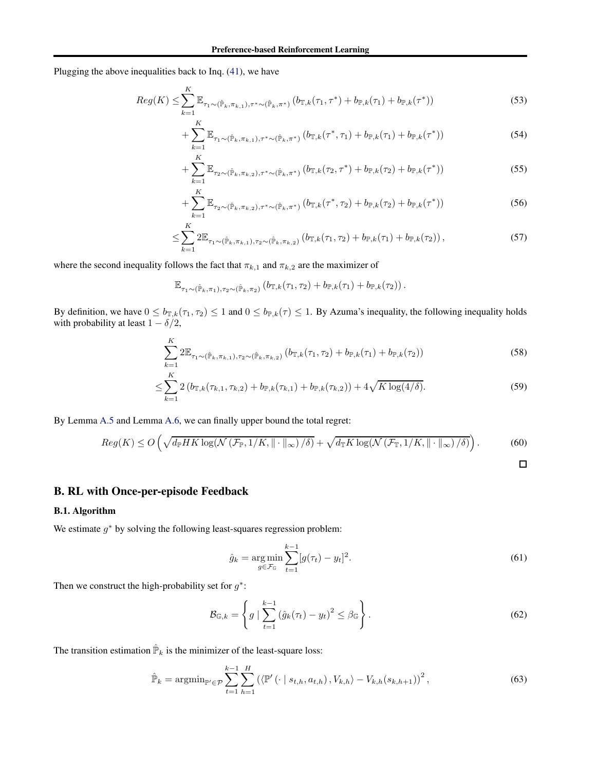Plugging the above inequalities back to Inq. [\(41\)](#page-13-0), we have

 $\ddotsc$ 

$$
Reg(K) \leq \sum_{k=1}^{K} \mathbb{E}_{\tau_1 \sim (\hat{\mathbb{P}}_k, \pi_{k,1}), \tau^* \sim (\hat{\mathbb{P}}_k, \pi^*)} \left( b_{\mathbb{T},k}(\tau_1, \tau^*) + b_{\mathbb{P},k}(\tau_1) + b_{\mathbb{P},k}(\tau^*) \right)
$$
(53)

$$
+\sum_{k=1}^{K} \mathbb{E}_{\tau_1 \sim (\hat{\mathbb{P}}_k, \pi_{k,1}), \tau^* \sim (\hat{\mathbb{P}}_k, \pi^*)} \left( b_{\mathbb{T},k}(\tau^*, \tau_1) + b_{\mathbb{P},k}(\tau_1) + b_{\mathbb{P},k}(\tau^*) \right) \tag{54}
$$

$$
+\sum_{k=1}^{K} \mathbb{E}_{\tau_2 \sim (\hat{\mathbb{P}}_k, \pi_{k,2}), \tau^* \sim (\hat{\mathbb{P}}_k, \pi^*)} \left( b_{\mathbb{T},k}(\tau_2, \tau^*) + b_{\mathbb{P},k}(\tau_2) + b_{\mathbb{P},k}(\tau^*) \right) \tag{55}
$$

$$
+\sum_{k=1}^{K} \mathbb{E}_{\tau_2 \sim (\hat{\mathbb{P}}_k, \pi_{k,2}), \tau^* \sim (\hat{\mathbb{P}}_k, \pi^*)} (b_{\mathbb{T},k}(\tau^*, \tau_2) + b_{\mathbb{P},k}(\tau_2) + b_{\mathbb{P},k}(\tau^*))
$$
(56)

$$
\leq \sum_{k=1}^{N} 2\mathbb{E}_{\tau_1 \sim (\hat{\mathbb{P}}_k, \pi_{k,1}), \tau_2 \sim (\hat{\mathbb{P}}_k, \pi_{k,2})} \left( b_{\mathbb{T},k}(\tau_1, \tau_2) + b_{\mathbb{P},k}(\tau_1) + b_{\mathbb{P},k}(\tau_2) \right),\tag{57}
$$

where the second inequality follows the fact that  $\pi_{k,1}$  and  $\pi_{k,2}$  are the maximizer of

$$
\mathbb{E}_{\tau_1 \sim (\hat{\mathbb{P}}_k, \pi_1), \tau_2 \sim (\hat{\mathbb{P}}_k, \pi_2)} \left( b_{\mathbb{T},k}(\tau_1, \tau_2) + b_{\mathbb{P},k}(\tau_1) + b_{\mathbb{P},k}(\tau_2) \right).
$$

By definition, we have  $0 \le b_{\mathbb{T},k}(\tau_1, \tau_2) \le 1$  and  $0 \le b_{\mathbb{T},k}(\tau) \le 1$ . By Azuma's inequality, the following inequality holds with probability at least  $1 - \delta/2$ ,

$$
\sum_{k=1}^{K} 2\mathbb{E}_{\tau_1 \sim (\hat{\mathbb{P}}_k, \pi_{k,1}), \tau_2 \sim (\hat{\mathbb{P}}_k, \pi_{k,2})} (b_{\mathbb{T},k}(\tau_1, \tau_2) + b_{\mathbb{P},k}(\tau_1) + b_{\mathbb{P},k}(\tau_2))
$$
(58)

$$
\leq \sum_{k=1}^{K} 2 \left( b_{\mathbb{T},k}(\tau_{k,1}, \tau_{k,2}) + b_{\mathbb{P},k}(\tau_{k,1}) + b_{\mathbb{P},k}(\tau_{k,2}) \right) + 4\sqrt{K \log(4/\delta)}.
$$
\n(59)

By Lemma [A.5](#page-12-0) and Lemma [A.6,](#page-12-1) we can finally upper bound the total regret:

$$
Reg(K) \le O\left(\sqrt{d_{\mathbb{P}}HK\log(\mathcal{N}\left(\mathcal{F}_{\mathbb{P}},1/K,\|\cdot\|_{\infty}\right)/\delta)}+\sqrt{d_{\mathbb{T}}K\log(\mathcal{N}\left(\mathcal{F}_{\mathbb{T}},1/K,\|\cdot\|_{\infty}\right)/\delta)}\right).
$$
(60)

<span id="page-14-3"></span><span id="page-14-2"></span><span id="page-14-1"></span> $\Box$ 

# <span id="page-14-0"></span>B. RL with Once-per-episode Feedback

#### B.1. Algorithm

We estimate  $g^*$  by solving the following least-squares regression problem:

$$
\hat{g}_k = \underset{g \in \mathcal{F}_{\mathbb{G}}}{\arg \min} \sum_{t=1}^{k-1} [g(\tau_t) - y_t]^2.
$$
\n(61)

Then we construct the high-probability set for  $g^*$ :

$$
\mathcal{B}_{\mathbb{G},k} = \left\{ g \mid \sum_{t=1}^{k-1} \left( \hat{g}_k(\tau_t) - y_t \right)^2 \leq \beta_{\mathbb{G}} \right\}.
$$
\n
$$
(62)
$$

The transition estimation  $\hat{P}_k$  is the minimizer of the least-square loss:

$$
\hat{\mathbb{P}}_k = \operatorname{argmin}_{\mathbb{P}' \in \mathcal{P}} \sum_{t=1}^{k-1} \sum_{h=1}^{H} \left( \langle \mathbb{P}' \left( \cdot \mid s_{t,h}, a_{t,h} \right), V_{k,h} \rangle - V_{k,h}(s_{k,h+1}) \right)^2, \tag{63}
$$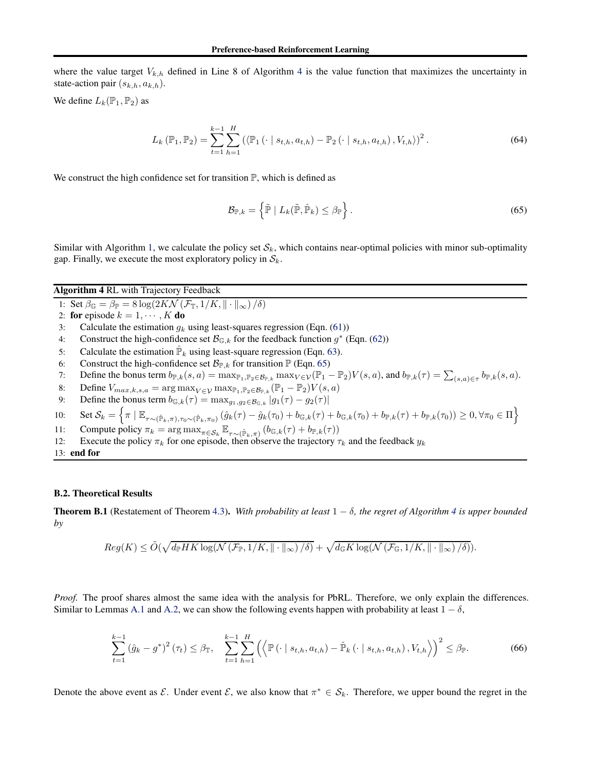where the value target  $V_{k,h}$  defined in Line 8 of Algorithm [4](#page-15-0) is the value function that maximizes the uncertainty in state-action pair  $(s_{k,h}, a_{k,h})$ .

We define  $L_k(\mathbb{P}_1, \mathbb{P}_2)$  as

$$
L_{k}(\mathbb{P}_{1}, \mathbb{P}_{2}) = \sum_{t=1}^{k-1} \sum_{h=1}^{H} (\langle \mathbb{P}_{1}(\cdot \mid s_{t,h}, a_{t,h}) - \mathbb{P}_{2}(\cdot \mid s_{t,h}, a_{t,h}), V_{t,h} \rangle)^{2}.
$$
 (64)

We construct the high confidence set for transition  $\mathbb{P}$ , which is defined as

<span id="page-15-1"></span>
$$
\mathcal{B}_{\mathbb{P},k} = \left\{ \tilde{\mathbb{P}} \mid L_k(\tilde{\mathbb{P}}, \hat{\mathbb{P}}_k) \leq \beta_{\mathbb{P}} \right\}.
$$
\n(65)

Similar with Algorithm [1,](#page-4-0) we calculate the policy set  $S_k$ , which contains near-optimal policies with minor sub-optimality gap. Finally, we execute the most exploratory policy in  $S_k$ .

# <span id="page-15-0"></span>Algorithm 4 RL with Trajectory Feedback

- 1: Set  $\beta_{\mathbb{G}} = \beta_{\mathbb{P}} = 8 \log(2K\mathcal{N}(\mathcal{F}_{\mathbb{T}}, 1/K, \|\cdot\|_{\infty})/\delta)$
- 2: **for** episode  $k = 1, \dots, K$  **do**<br>3: Calculate the estimation  $q_k$
- Calculate the estimation  $g_k$  using least-squares regression (Eqn. [\(61\)](#page-14-1))
- 4: Construct the high-confidence set  $\mathcal{B}_{\mathbb{G},k}$  for the feedback function  $g^*$  (Eqn. [\(62\)](#page-14-2))
- 5: Calculate the estimation  $\hat{\mathbb{P}}_k$  using least-square regression (Eqn. [63\)](#page-14-3).
- 6: Construct the high-confidence set  $\mathcal{B}_{\mathbb{P},k}$  for transition  $\mathbb{P}$  (Eqn. [65\)](#page-15-1)<br>7: Define the bonus term  $b_{\mathbb{P},k}(s, a) = \max_{\mathbb{P}, \mathbb{P}_2 \in \mathcal{B}_{\mathbb{P},k}} \max_{V \in \mathcal{V}} (\mathbb{P}_1 \cdot$
- 7: Define the bonus term  $b_{\mathbb{P},k}(s, a) = \max_{\mathbb{P}_1, \mathbb{P}_2 \in \mathcal{B}_{\mathbb{P},k}} \max_{V \in \mathcal{V}} (\mathbb{P}_1 \mathbb{P}_2) V(s, a)$ , and  $b_{\mathbb{P},k}(\tau) = \sum_{(s,a) \in \tau} b_{\mathbb{P},k}(s, a)$ .
- 8: Define  $V_{max,k,s,a} = \arg \max_{V \in \mathcal{V}} \max_{\mathbb{P}_1, \mathbb{P}_2 \in \mathcal{B}_{\mathbb{P},k}} (\mathbb{P}_1 \mathbb{P}_2) V(s, a)$ <br>9: Define the bonus term  $b_{\mathbb{G}_k}(f) = \max_{a_1, a_2 \in \mathcal{B}_{\mathbb{P},k}} |q_1(f) q_2(f)|$
- Define the bonus term  $b_{\mathbb{G},k}(\tau) = \max_{g_1,g_2 \in \mathcal{B}_{\mathbb{G},k}} |g_1(\tau) g_2(\tau)|$
- 10: Set  $\mathcal{S}_k = \left\{ \pi \mid \mathbb{E}_{\tau \sim (\hat{\mathbb{P}}_k, \pi), \tau_0 \sim (\hat{\mathbb{P}}_k, \pi_0)} (\hat{g}_k(\tau) \hat{g}_k(\tau_0) + b_{\mathbb{G},k}(\tau) + b_{\mathbb{G},k}(\tau_0) + b_{\mathbb{P},k}(\tau) + b_{\mathbb{P},k}(\tau_0)) \geq 0, \forall \pi_0 \in \Pi \right\}$
- 11: Compute policy  $\pi_k = \arg \max_{\pi \in S_k} \mathbb{E}_{\tau \sim (\hat{\mathbb{P}}_k, \pi)} (b_{\mathbb{G},k}(\tau) + b_{\mathbb{P},k}(\tau))$
- 12: Execute the policy  $\pi_k$  for one episode, then observe the trajectory  $\tau_k$  and the feedback  $y_k$
- 13: end for

#### B.2. Theoretical Results

**Theorem B.1** (Restatement of Theorem [4.3\)](#page-5-5). With probability at least  $1 - \delta$ , the regret of Algorithm [4](#page-15-0) is upper bounded *by*

$$
Reg(K) \leq \tilde{O}(\sqrt{d_{\mathbb{P}}HK \log(N(\mathcal{F}_{\mathbb{P}}, 1/K, \|\cdot\|_{\infty})/\delta)} + \sqrt{d_{\mathbb{G}}K \log(N(\mathcal{F}_{\mathbb{G}}, 1/K, \|\cdot\|_{\infty})/\delta)}).
$$

*Proof.* The proof shares almost the same idea with the analysis for PbRL. Therefore, we only explain the differences. Similar to Lemmas [A.1](#page-11-1) and [A.2,](#page-11-2) we can show the following events happen with probability at least  $1 - \delta$ ,

$$
\sum_{t=1}^{k-1} (\hat{g}_k - g^*)^2 (\tau_t) \leq \beta_{\mathbb{T}}, \quad \sum_{t=1}^{k-1} \sum_{h=1}^H \left( \left\langle \mathbb{P} \left( \cdot \mid s_{t,h}, a_{t,h} \right) - \hat{\mathbb{P}}_k \left( \cdot \mid s_{t,h}, a_{t,h} \right), V_{t,h} \right\rangle \right)^2 \leq \beta_{\mathbb{P}}.
$$
 (66)

Denote the above event as  $\mathcal{E}$ . Under event  $\mathcal{E}$ , we also know that  $\pi^* \in \mathcal{S}_k$ . Therefore, we upper bound the regret in the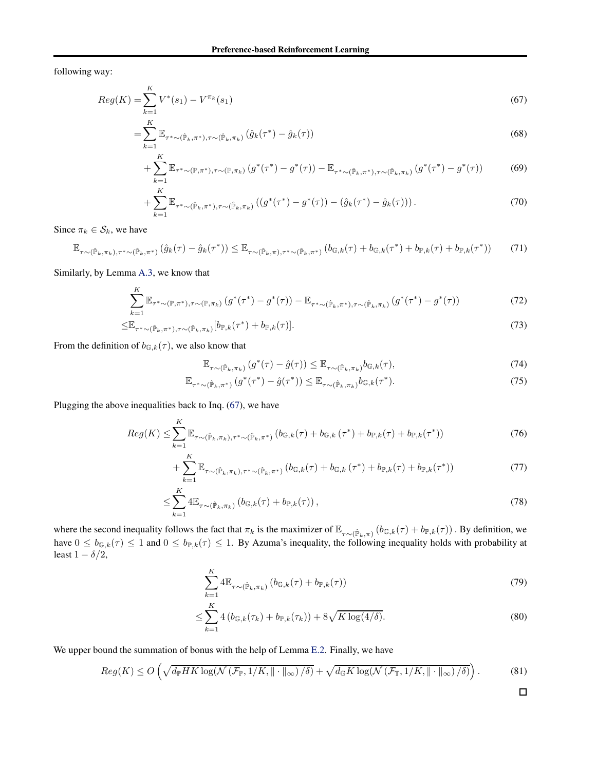following way:

$$
Reg(K) = \sum_{k=1}^{K} V^*(s_1) - V^{\pi_k}(s_1)
$$
\n(67)

$$
= \sum_{k=1}^{K} \mathbb{E}_{\tau^* \sim (\hat{\mathbb{P}}_k, \pi^*), \tau \sim (\hat{\mathbb{P}}_k, \pi_k)} (\hat{g}_k(\tau^*) - \hat{g}_k(\tau))
$$
(68)

<span id="page-16-0"></span>+ 
$$
\sum_{k=1}^{K} \mathbb{E}_{\tau^* \sim (\mathbb{P}, \pi^*), \tau \sim (\mathbb{P}, \pi_k)} (g^*(\tau^*) - g^*(\tau)) - \mathbb{E}_{\tau^* \sim (\hat{\mathbb{P}}_k, \pi^*), \tau \sim (\hat{\mathbb{P}}_k, \pi_k)} (g^*(\tau^*) - g^*(\tau))
$$
 (69)

$$
+\sum_{k=1}^{K} \mathbb{E}_{\tau^* \sim (\hat{\mathbb{P}}_k, \pi^*), \tau \sim (\hat{\mathbb{P}}_k, \pi_k)} \left( (g^*(\tau^*) - g^*(\tau)) - (\hat{g}_k(\tau^*) - \hat{g}_k(\tau)) \right). \tag{70}
$$

Since  $\pi_k \in \mathcal{S}_k$ , we have

$$
\mathbb{E}_{\tau \sim (\hat{\mathbb{P}}_k, \pi_k), \tau^* \sim (\hat{\mathbb{P}}_k, \pi^*)} (\hat{g}_k(\tau) - \hat{g}_k(\tau^*)) \leq \mathbb{E}_{\tau \sim (\hat{\mathbb{P}}_k, \pi), \tau^* \sim (\hat{\mathbb{P}}_k, \pi^*)} (b_{\mathbb{G},k}(\tau) + b_{\mathbb{G},k}(\tau^*) + b_{\mathbb{P},k}(\tau) + b_{\mathbb{P},k}(\tau^*))
$$
(71)

Similarly, by Lemma [A.3,](#page-11-3) we know that

$$
\sum_{k=1}^{K} \mathbb{E}_{\tau^* \sim (\mathbb{P}, \pi^*), \tau \sim (\mathbb{P}, \pi_k)} \left( g^*(\tau^*) - g^*(\tau) \right) - \mathbb{E}_{\tau^* \sim (\hat{\mathbb{P}}_k, \pi^*), \tau \sim (\hat{\mathbb{P}}_k, \pi_k)} \left( g^*(\tau^*) - g^*(\tau) \right)
$$
(72)

$$
\leq \mathbb{E}_{\tau^* \sim (\hat{\mathbb{P}}_k, \pi^*), \tau \sim (\hat{\mathbb{P}}_k, \pi_k)} [b_{\mathbb{P},k}(\tau^*) + b_{\mathbb{P},k}(\tau)]. \tag{73}
$$

From the definition of  $b_{\mathbb{G},k}(\tau)$ , we also know that

$$
\mathbb{E}_{\tau \sim (\hat{\mathbb{P}}_k, \pi_k)} \left( g^*(\tau) - \hat{g}(\tau) \right) \leq \mathbb{E}_{\tau \sim (\hat{\mathbb{P}}_k, \pi_k)} b_{\mathbb{G}, k}(\tau), \tag{74}
$$

$$
\mathbb{E}_{\tau^*\sim(\hat{\mathbb{P}}_k,\pi^*)} \left( g^*(\tau^*) - \hat{g}(\tau^*) \right) \leq \mathbb{E}_{\tau\sim(\hat{\mathbb{P}}_k,\pi_k)} b_{\mathbb{G},k}(\tau^*).
$$
\n(75)

Plugging the above inequalities back to Inq. [\(67\)](#page-16-0), we have

$$
Reg(K) \leq \sum_{k=1}^{K} \mathbb{E}_{\tau \sim (\hat{\mathbb{P}}_k, \pi_k), \tau^* \sim (\hat{\mathbb{P}}_k, \pi^*)} (b_{\mathbb{G},k}(\tau) + b_{\mathbb{G},k}(\tau^*) + b_{\mathbb{P},k}(\tau) + b_{\mathbb{P},k}(\tau^*))
$$
(76)

+ 
$$
\sum_{k=1}^{K} \mathbb{E}_{\tau \sim (\hat{\mathbb{P}}_k, \pi_k), \tau^* \sim (\hat{\mathbb{P}}_k, \pi^*)} (b_{\mathbb{G},k}(\tau) + b_{\mathbb{G},k}(\tau^*) + b_{\mathbb{P},k}(\tau) + b_{\mathbb{P},k}(\tau^*))
$$
 (77)

$$
\leq \sum_{k=1}^{K} 4\mathbb{E}_{\tau \sim (\hat{\mathbb{P}}_k, \pi_k)} \left( b_{\mathbb{G},k}(\tau) + b_{\mathbb{P},k}(\tau) \right),\tag{78}
$$

where the second inequality follows the fact that  $\pi_k$  is the maximizer of  $\mathbb{E}_{\tau \sim (\hat{\mathbb{P}}_k,\pi)}(b_{\mathbb{G},k}(\tau) + b_{\mathbb{P},k}(\tau))$ . By definition, we have  $0 \le b_{\mathbb{G},k}(\tau) \le 1$  and  $0 \le b_{\mathbb{P},k}(\tau) \le 1$ . By Azuma's inequality, the following inequality holds with probability at least  $1 - \delta/2$ ,

$$
\sum_{k=1}^{K} 4\mathbb{E}_{\tau \sim (\hat{\mathbb{P}}_k, \pi_k)} \left( b_{\mathbb{G},k}(\tau) + b_{\mathbb{P},k}(\tau) \right)
$$
\n(79)

$$
\leq \sum_{k=1}^{K} 4 \left( b_{\mathbb{G},k}(\tau_k) + b_{\mathbb{P},k}(\tau_k) \right) + 8\sqrt{K \log(4/\delta)}.
$$
\n(80)

We upper bound the summation of bonus with the help of Lemma [E.2.](#page-20-1) Finally, we have

$$
Reg(K) \le O\left(\sqrt{d_{\mathbb{P}}HK\log(\mathcal{N}\left(\mathcal{F}_{\mathbb{P}},1/K,\|\cdot\|_{\infty}\right)/\delta)}+\sqrt{d_{\mathbb{G}}K\log(\mathcal{N}\left(\mathcal{F}_{\mathbb{T}},1/K,\|\cdot\|_{\infty}\right)/\delta)}\right).
$$
(81)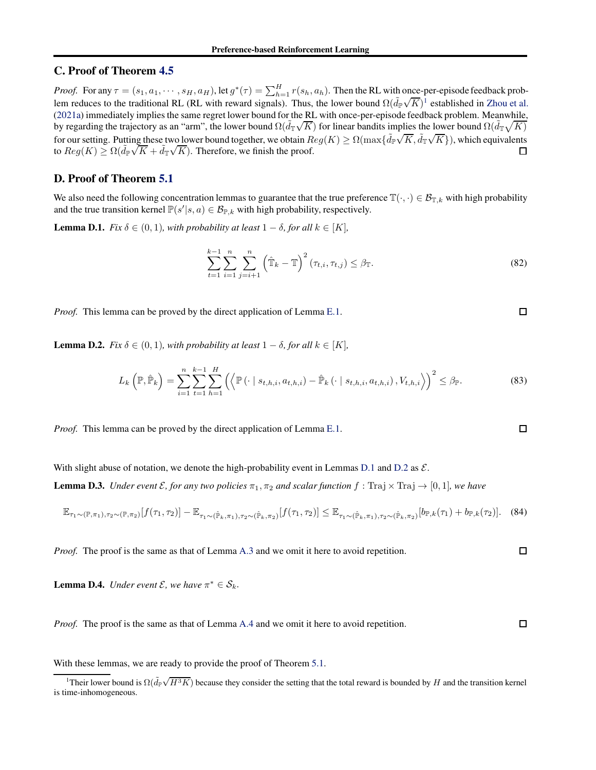# <span id="page-17-0"></span>C. Proof of Theorem [4.5](#page-6-0)

*Proof.* For any  $\tau = (s_1, a_1, \dots, s_H, a_H)$ , let  $g^*(\tau) = \sum_{h=1}^H r(s_h, a_h)$ . Then the RL with once-per-episode feedback problem reduces to the traditional RL (RL with reward signals). Thus, the lower bound  $\Omega(\tilde{d}_{\mathbb{P}}\sqrt{K})^1$  $\Omega(\tilde{d}_{\mathbb{P}}\sqrt{K})^1$  established in [Zhou et al.](#page-10-3) [\(2021a\)](#page-10-3) immediately implies the same regret lower bound for the RL with once-per-episode feedback problem. Meanwhile, by regarding the trajectory as an "arm", the lower bound  $\Omega(\tilde{d}_{\mathbb{T}}\sqrt{K})$  for linear bandits implies the lower bound  $\Omega(\tilde{d}_{\mathbb{T}}\sqrt{K})$ for our setting. Putting these two lower bound together, we obtain  $Reg(K) \ge \Omega(\max\{\tilde{d}_{\mathbb{P}}\sqrt{K}, \tilde{d}_{\mathbb{P}}\sqrt{K}\})$ , which equivalents to Reg $(K) \ge \Omega(\tilde{d}_{\mathbb{P}}\sqrt{K} + \tilde{d}_{\mathbb{T}}\sqrt{K})$ . Therefore, we finish the proof.

# <span id="page-17-1"></span>D. Proof of Theorem [5.1](#page-7-5)

<span id="page-17-3"></span>We also need the following concentration lemmas to guarantee that the true preference  $\mathbb{T}(\cdot,\cdot) \in \mathcal{B}_{\mathbb{T},k}$  with high probability and the true transition kernel  $\mathbb{P}(s'|s, a) \in \mathcal{B}_{\mathbb{P},k}$  with high probability, respectively.

**Lemma D.1.** *Fix*  $\delta \in (0,1)$ *, with probability at least*  $1 - \delta$ *, for all*  $k \in [K]$ *,* 

$$
\sum_{t=1}^{k-1} \sum_{i=1}^{n} \sum_{j=i+1}^{n} \left( \hat{\mathbb{T}}_k - \mathbb{T} \right)^2 (\tau_{t,i}, \tau_{t,j}) \leq \beta_{\mathbb{T}}.
$$
\n(82)

*Proof.* This lemma can be proved by the direct application of Lemma [E.1.](#page-20-0)

<span id="page-17-4"></span>**Lemma D.2.** *Fix*  $\delta \in (0, 1)$ *, with probability at least*  $1 - \delta$ *, for all*  $k \in [K]$ *,* 

$$
L_{k}\left(\mathbb{P},\hat{\mathbb{P}}_{k}\right) = \sum_{i=1}^{n} \sum_{t=1}^{k-1} \sum_{h=1}^{H} \left( \left\langle \mathbb{P}\left(\cdot \mid s_{t,h,i}, a_{t,h,i}\right) - \hat{\mathbb{P}}_{k}\left(\cdot \mid s_{t,h,i}, a_{t,h,i}\right), V_{t,h,i} \right\rangle \right)^{2} \leq \beta_{\mathbb{P}}.
$$
 (83)

*Proof.* This lemma can be proved by the direct application of Lemma [E.1.](#page-20-0)

<span id="page-17-5"></span>With slight abuse of notation, we denote the high-probability event in Lemmas [D.1](#page-17-3) and [D.2](#page-17-4) as  $\mathcal{E}$ .

**Lemma D.3.** *Under event E*, for any two policies  $\pi_1, \pi_2$  and scalar function  $f : \text{Traj} \times \text{Traj} \to [0, 1]$ *, we have* 

$$
\mathbb{E}_{\tau_1 \sim (\mathbb{P}, \pi_1), \tau_2 \sim (\mathbb{P}, \pi_2)}[f(\tau_1, \tau_2)] - \mathbb{E}_{\tau_1 \sim (\hat{\mathbb{P}}_k, \pi_1), \tau_2 \sim (\hat{\mathbb{P}}_k, \pi_2)}[f(\tau_1, \tau_2)] \leq \mathbb{E}_{\tau_1 \sim (\hat{\mathbb{P}}_k, \pi_1), \tau_2 \sim (\hat{\mathbb{P}}_k, \pi_2)}[b_{\mathbb{P},k}(\tau_1) + b_{\mathbb{P},k}(\tau_2)]. \tag{84}
$$

*Proof.* The proof is the same as that of Lemma [A.3](#page-11-3) and we omit it here to avoid repetition.

<span id="page-17-6"></span>**Lemma D.4.** *Under event*  $\mathcal{E}$ *, we have*  $\pi^* \in \mathcal{S}_k$ *.* 

*Proof.* The proof is the same as that of Lemma [A.4](#page-11-5) and we omit it here to avoid repetition.  $\Box$ 

With these lemmas, we are ready to provide the proof of Theorem [5.1.](#page-7-5)

 $\Box$ 

 $\Box$ 

<span id="page-17-2"></span><sup>&</sup>lt;sup>1</sup>Their lower bound is  $\Omega(\tilde{d}_{\mathbb{P}}\sqrt{H^3K})$  because they consider the setting that the total reward is bounded by H and the transition kernel is time-inhomogeneous.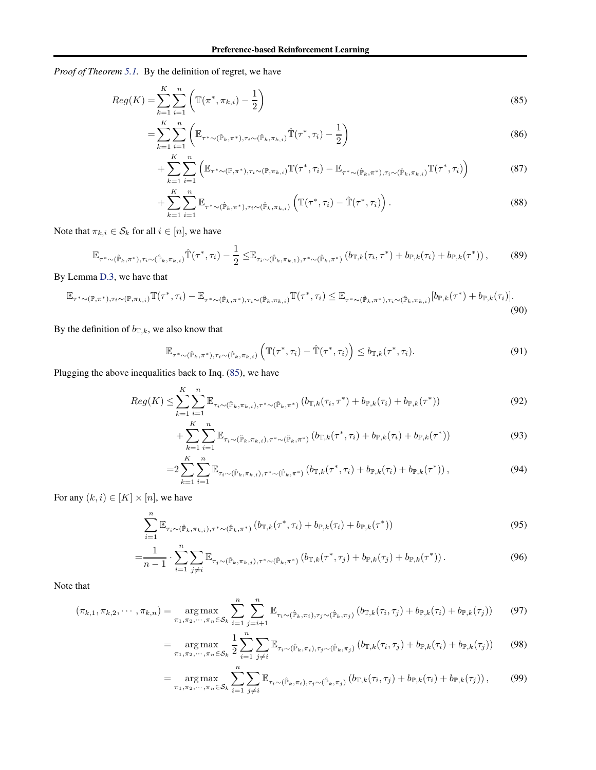*Proof of Theorem [5.1.](#page-7-5)* By the definition of regret, we have

$$
Reg(K) = \sum_{k=1}^{K} \sum_{i=1}^{n} \left( \mathbb{T}(\pi^*, \pi_{k,i}) - \frac{1}{2} \right)
$$
\n(85)

$$
=\sum_{k=1}^{K} \sum_{i=1}^{n} \left( \mathbb{E}_{\tau^{*} \sim (\hat{\mathbb{P}}_{k}, \pi^{*}), \tau_{i} \sim (\hat{\mathbb{P}}_{k}, \pi_{k, i})} \hat{\mathbb{T}}(\tau^{*}, \tau_{i}) - \frac{1}{2} \right)
$$
(86)

<span id="page-18-0"></span>
$$
+\sum_{k=1}^{K} \sum_{i=1}^{n} \left( \mathbb{E}_{\tau^{*} \sim (\mathbb{P}, \pi^{*}), \tau_{i} \sim (\mathbb{P}, \pi_{k,i})} \mathbb{T}(\tau^{*}, \tau_{i}) - \mathbb{E}_{\tau^{*} \sim (\hat{\mathbb{P}}_{k}, \pi^{*}), \tau_{i} \sim (\hat{\mathbb{P}}_{k}, \pi_{k,i})} \mathbb{T}(\tau^{*}, \tau_{i}) \right)
$$
(87)

$$
+\sum_{k=1}^{K} \sum_{i=1}^{n} \mathbb{E}_{\tau^{*}\sim(\hat{\mathbb{P}}_{k},\pi^{*}),\tau_{i}\sim(\hat{\mathbb{P}}_{k},\pi_{k,i})} \left(\mathbb{T}(\tau^{*},\tau_{i})-\hat{\mathbb{T}}(\tau^{*},\tau_{i})\right).
$$
\n(88)

Note that  $\pi_{k,i} \in S_k$  for all  $i \in [n]$ , we have

$$
\mathbb{E}_{\tau^* \sim (\hat{\mathbb{P}}_k, \pi^*), \tau_i \sim (\hat{\mathbb{P}}_k, \pi_{k,i})} \hat{\mathbb{T}}(\tau^*, \tau_i) - \frac{1}{2} \leq \mathbb{E}_{\tau_i \sim (\hat{\mathbb{P}}_k, \pi_{k,1}), \tau^* \sim (\hat{\mathbb{P}}_k, \pi^*)} (b_{\mathbb{T},k}(\tau_i, \tau^*) + b_{\mathbb{P},k}(\tau_i) + b_{\mathbb{P},k}(\tau^*)) ,\tag{89}
$$

By Lemma [D.3,](#page-17-5) we have that

$$
\mathbb{E}_{\tau^* \sim (\mathbb{P}, \pi^*), \tau_i \sim (\mathbb{P}, \pi_{k,i})} \mathbb{T}(\tau^*, \tau_i) - \mathbb{E}_{\tau^* \sim (\hat{\mathbb{P}}_k, \pi^*), \tau_i \sim (\hat{\mathbb{P}}_k, \pi_{k,i})} \mathbb{T}(\tau^*, \tau_i) \leq \mathbb{E}_{\tau^* \sim (\hat{\mathbb{P}}_k, \pi^*), \tau_i \sim (\hat{\mathbb{P}}_k, \pi_{k,i})} [b_{\mathbb{P},k}(\tau^*) + b_{\mathbb{P},k}(\tau_i)].
$$
\n(90)

By the definition of  $b_{\mathbb{T},k}$ , we also know that

$$
\mathbb{E}_{\tau^*\sim(\hat{\mathbb{P}}_k,\pi^*),\tau_i\sim(\hat{\mathbb{P}}_k,\pi_{k,i})}\left(\mathbb{T}(\tau^*,\tau_i)-\hat{\mathbb{T}}(\tau^*,\tau_i)\right)\leq b_{\mathbb{T},k}(\tau^*,\tau_i). \tag{91}
$$

Plugging the above inequalities back to Inq. [\(85\)](#page-18-0), we have

$$
Reg(K) \leq \sum_{k=1}^{K} \sum_{i=1}^{n} \mathbb{E}_{\tau_i \sim (\hat{\mathbb{P}}_k, \pi_{k,i}), \tau^* \sim (\hat{\mathbb{P}}_k, \pi^*)} \left( b_{\mathbb{T},k}(\tau_i, \tau^*) + b_{\mathbb{P},k}(\tau_i) + b_{\mathbb{P},k}(\tau^*) \right)
$$
(92)

$$
+\sum_{k=1}^{K} \sum_{i=1}^{n} \mathbb{E}_{\tau_i \sim (\hat{\mathbb{P}}_k, \pi_{k,i}), \tau^* \sim (\hat{\mathbb{P}}_k, \pi^*)} \left( b_{\mathbb{T},k}(\tau^*, \tau_i) + b_{\mathbb{P},k}(\tau_i) + b_{\mathbb{P},k}(\tau^*) \right)
$$
(93)

$$
=2\sum_{k=1}^{K}\sum_{i=1}^{n}\mathbb{E}_{\tau_{i}\sim(\hat{\mathbb{P}}_{k},\pi_{k,i}),\tau^{*}\sim(\hat{\mathbb{P}}_{k},\pi^{*})}(b_{\mathbb{T},k}(\tau^{*},\tau_{i})+b_{\mathbb{P},k}(\tau_{i})+b_{\mathbb{P},k}(\tau^{*}))\,,\tag{94}
$$

For any  $(k, i) \in [K] \times [n]$ , we have

$$
\sum_{i=1}^{n} \mathbb{E}_{\tau_i \sim (\hat{\mathbb{P}}_k, \pi_{k,i}), \tau^* \sim (\hat{\mathbb{P}}_k, \pi^*)} \left( b_{\mathbb{T},k}(\tau^*, \tau_i) + b_{\mathbb{P},k}(\tau_i) + b_{\mathbb{P},k}(\tau^*) \right)
$$
(95)

$$
= \frac{1}{n-1} \cdot \sum_{i=1}^{n} \sum_{j \neq i} \mathbb{E}_{\tau_j \sim (\hat{\mathbb{P}}_k, \pi_{k,j}), \tau^* \sim (\hat{\mathbb{P}}_k, \pi^*)} \left( b_{\mathbb{T},k}(\tau^*, \tau_j) + b_{\mathbb{P},k}(\tau_j) + b_{\mathbb{P},k}(\tau^*) \right). \tag{96}
$$

Note that

$$
(\pi_{k,1}, \pi_{k,2}, \cdots, \pi_{k,n}) = \underset{\pi_1, \pi_2, \cdots, \pi_n \in \mathcal{S}_k}{\arg \max} \sum_{i=1}^n \sum_{j=i+1}^n \mathbb{E}_{\tau_i \sim (\hat{\mathbb{P}}_k, \pi_i), \tau_j \sim (\hat{\mathbb{P}}_k, \pi_j)} (b_{\mathbb{T},k}(\tau_i, \tau_j) + b_{\mathbb{P},k}(\tau_i) + b_{\mathbb{P},k}(\tau_j)) \tag{97}
$$

$$
= \underset{\pi_1, \pi_2, \cdots, \pi_n \in \mathcal{S}_k}{\arg \max} \frac{1}{2} \sum_{i=1}^n \sum_{j \neq i} \mathbb{E}_{\tau_i \sim (\hat{\mathbb{P}}_k, \pi_i), \tau_j \sim (\hat{\mathbb{P}}_k, \pi_j)} \left( b_{\mathbb{T}, k}(\tau_i, \tau_j) + b_{\mathbb{P}, k}(\tau_i) + b_{\mathbb{P}, k}(\tau_j) \right)
$$
(98)

$$
= \underset{\pi_1, \pi_2, \cdots, \pi_n \in \mathcal{S}_k}{\arg \max} \sum_{i=1}^n \sum_{j \neq i} \mathbb{E}_{\tau_i \sim (\hat{\mathbb{P}}_k, \pi_i), \tau_j \sim (\hat{\mathbb{P}}_k, \pi_j)} \left( b_{\mathbb{T}, k}(\tau_i, \tau_j) + b_{\mathbb{P}, k}(\tau_i) + b_{\mathbb{P}, k}(\tau_j) \right), \tag{99}
$$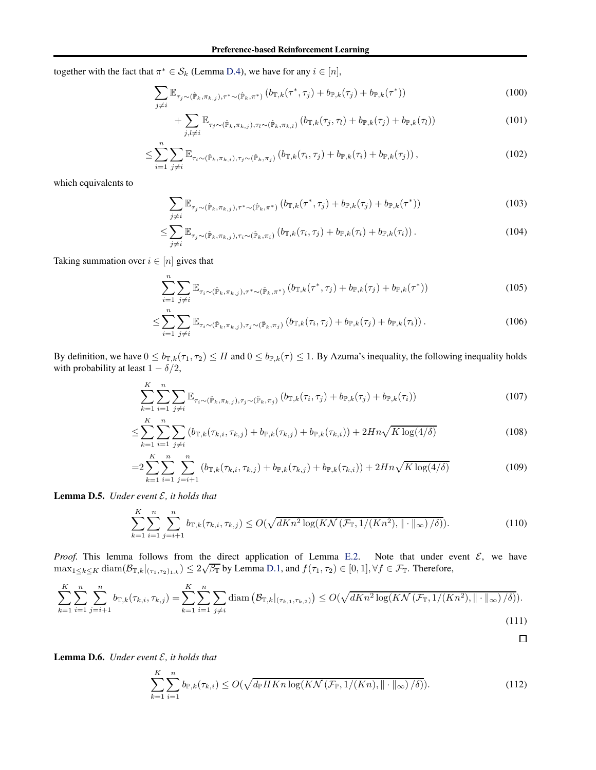together with the fact that  $\pi^* \in S_k$  (Lemma [D.4\)](#page-17-6), we have for any  $i \in [n]$ ,

$$
\sum_{j\neq i} \mathbb{E}_{\tau_j \sim (\hat{\mathbb{P}}_k, \pi_{k,j}), \tau^* \sim (\hat{\mathbb{P}}_k, \pi^*)} \left( b_{\mathbb{T},k}(\tau^*, \tau_j) + b_{\mathbb{P},k}(\tau_j) + b_{\mathbb{P},k}(\tau^*) \right)
$$
(100)

$$
+\sum_{j,l\neq i}\mathbb{E}_{\tau_j\sim(\hat{\mathbb{P}}_k,\pi_{k,j}),\tau_l\sim(\hat{\mathbb{P}}_k,\pi_{k,l})}(b_{\mathbb{T},k}(\tau_j,\tau_l)+b_{\mathbb{P},k}(\tau_j)+b_{\mathbb{P},k}(\tau_l))\tag{101}
$$

$$
\leq \sum_{i=1}^{n} \sum_{j \neq i} \mathbb{E}_{\tau_i \sim (\hat{\mathbb{P}}_k, \pi_{k,i}), \tau_j \sim (\hat{\mathbb{P}}_k, \pi_j)} \left( b_{\mathbb{T},k}(\tau_i, \tau_j) + b_{\mathbb{P},k}(\tau_i) + b_{\mathbb{P},k}(\tau_j) \right),\tag{102}
$$

which equivalents to

$$
\sum_{j\neq i} \mathbb{E}_{\tau_j \sim (\hat{\mathbb{P}}_k, \pi_{k,j}), \tau^* \sim (\hat{\mathbb{P}}_k, \pi^*)} \left( b_{\mathbb{T},k}(\tau^*, \tau_j) + b_{\mathbb{P},k}(\tau_j) + b_{\mathbb{P},k}(\tau^*) \right)
$$
(103)

$$
\leq \sum_{j\neq i} \mathbb{E}_{\tau_j \sim (\hat{\mathbb{P}}_k, \pi_{k,j}), \tau_i \sim (\hat{\mathbb{P}}_k, \pi_i)} \left( b_{\mathbb{T},k}(\tau_i, \tau_j) + b_{\mathbb{P},k}(\tau_i) + b_{\mathbb{P},k}(\tau_i) \right). \tag{104}
$$

Taking summation over  $i \in [n]$  gives that

$$
\sum_{i=1}^{n} \sum_{j \neq i} \mathbb{E}_{\tau_i \sim (\hat{\mathbb{P}}_k, \pi_{k,j}), \tau^* \sim (\hat{\mathbb{P}}_k, \pi^*)} \left( b_{\mathbb{T},k}(\tau^*, \tau_j) + b_{\mathbb{P},k}(\tau_j) + b_{\mathbb{P},k}(\tau^*) \right)
$$
(105)

$$
\leq \sum_{i=1}^{n} \sum_{j \neq i} \mathbb{E}_{\tau_i \sim (\hat{\mathbb{P}}_k, \pi_{k,j}), \tau_j \sim (\hat{\mathbb{P}}_k, \pi_j)} \left( b_{\mathbb{T},k}(\tau_i, \tau_j) + b_{\mathbb{P},k}(\tau_j) + b_{\mathbb{P},k}(\tau_i) \right). \tag{106}
$$

By definition, we have  $0 \le b_{\mathbb{T},k}(\tau_1, \tau_2) \le H$  and  $0 \le b_{\mathbb{T},k}(\tau) \le 1$ . By Azuma's inequality, the following inequality holds with probability at least  $1 - \delta/2$ ,

$$
\sum_{k=1}^{K} \sum_{i=1}^{n} \sum_{j \neq i} \mathbb{E}_{\tau_i \sim (\hat{\mathbb{P}}_k, \pi_{k,j}), \tau_j \sim (\hat{\mathbb{P}}_k, \pi_j)} \left( b_{\mathbb{T},k}(\tau_i, \tau_j) + b_{\mathbb{P},k}(\tau_j) + b_{\mathbb{P},k}(\tau_i) \right)
$$
(107)

$$
\leq \sum_{k=1}^{K} \sum_{i=1}^{n} \sum_{j \neq i} \left( b_{\mathbb{T},k}(\tau_{k,i}, \tau_{k,j}) + b_{\mathbb{P},k}(\tau_{k,j}) + b_{\mathbb{P},k}(\tau_{k,i}) \right) + 2Hn\sqrt{K \log(4/\delta)}
$$
(108)

$$
=2\sum_{k=1}^{K}\sum_{i=1}^{n}\sum_{j=i+1}^{n}\left(b_{\mathbb{T},k}(\tau_{k,i},\tau_{k,j})+b_{\mathbb{P},k}(\tau_{k,j})+b_{\mathbb{P},k}(\tau_{k,i})\right)+2Hn\sqrt{K\log(4/\delta)}\tag{109}
$$

<span id="page-19-0"></span>Lemma D.5. *Under event* E*, it holds that*

$$
\sum_{k=1}^{K} \sum_{i=1}^{n} \sum_{j=i+1}^{n} b_{\mathbb{T},k}(\tau_{k,i}, \tau_{k,j}) \le O(\sqrt{dKn^2 \log(K\mathcal{N}(\mathcal{F}_{\mathbb{T}}, 1/(Kn^2), \|\cdot\|_{\infty})/\delta)}).
$$
(110)

*Proof.* This lemma follows from the direct application of Lemma [E.2.](#page-20-1) Note that under event  $\mathcal{E}$ , we have  $\max_{1 \leq k \leq K} \text{diam}(\mathcal{B}_{\mathbb{T},k}|_{(\tau_1,\tau_2)_{1:k}}) \leq 2\sqrt{\beta_{\mathbb{T}}}$  by Lemma [D.1,](#page-17-3) and  $f(\tau_1,\tau_2) \in [0,1], \forall f \in \mathcal{F}_{\mathbb{T}}$ . Therefore,

$$
\sum_{k=1}^{K} \sum_{i=1}^{n} \sum_{j=i+1}^{n} b_{\mathbb{T},k}(\tau_{k,i}, \tau_{k,j}) = \sum_{k=1}^{K} \sum_{i=1}^{n} \sum_{j \neq i} \text{diam}\left(\mathcal{B}_{\mathbb{T},k}|_{(\tau_{k,1}, \tau_{k,2})}\right) \le O(\sqrt{dKn^2 \log(K\mathcal{N}(\mathcal{F}_{\mathbb{T}}, 1/(Kn^2), \|\cdot\|_{\infty})/\delta)}).
$$
\n(111)

<span id="page-19-1"></span>Lemma D.6. *Under event* E*, it holds that*

$$
\sum_{k=1}^{K} \sum_{i=1}^{n} b_{\mathbb{P},k}(\tau_{k,i}) \le O(\sqrt{d_{\mathbb{P}}HKn\log(K\mathcal{N}(\mathcal{F}_{\mathbb{P}},1/(Kn),\|\cdot\|_{\infty})/\delta)}).
$$
\n(112)